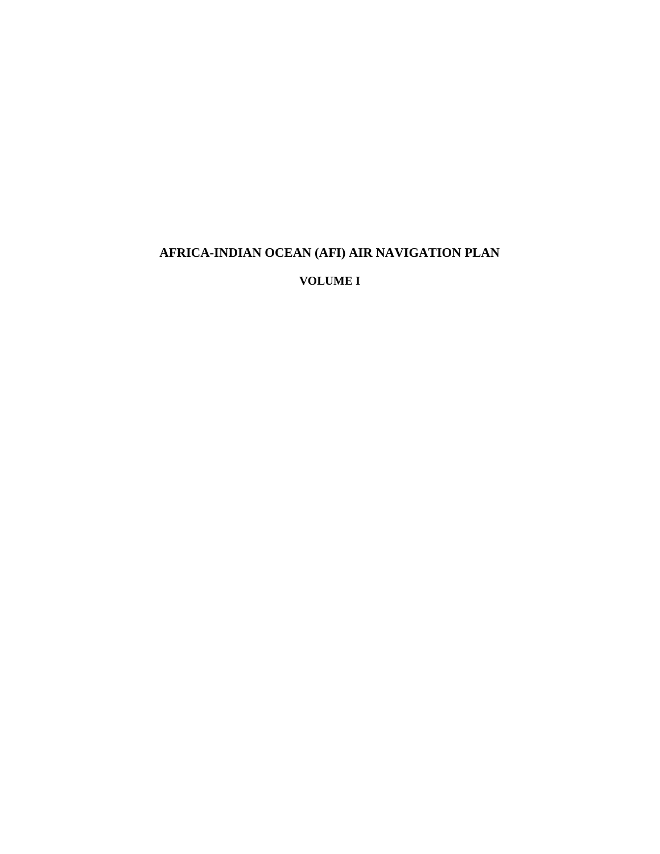# **AFRICA-INDIAN OCEAN (AFI) AIR NAVIGATION PLAN**

**VOLUME I**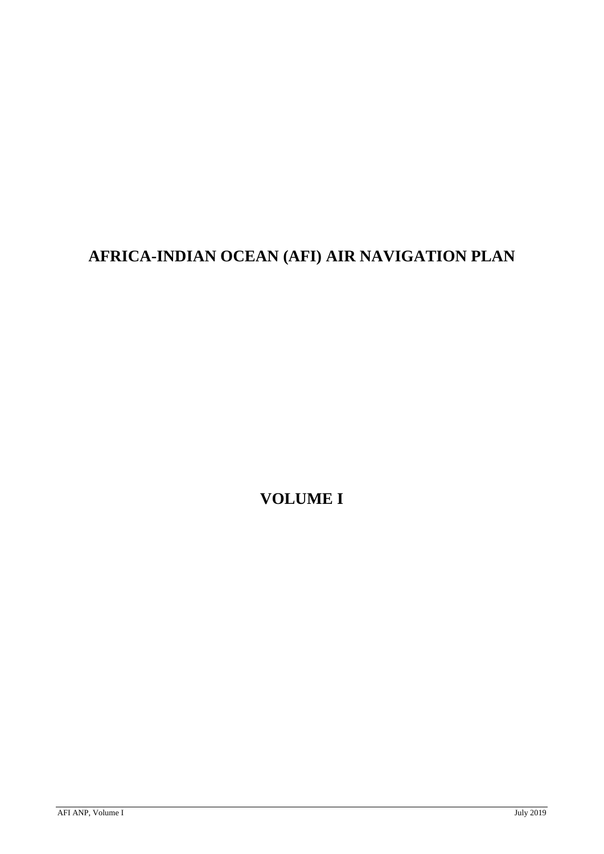# **AFRICA-INDIAN OCEAN (AFI) AIR NAVIGATION PLAN**

**VOLUME I**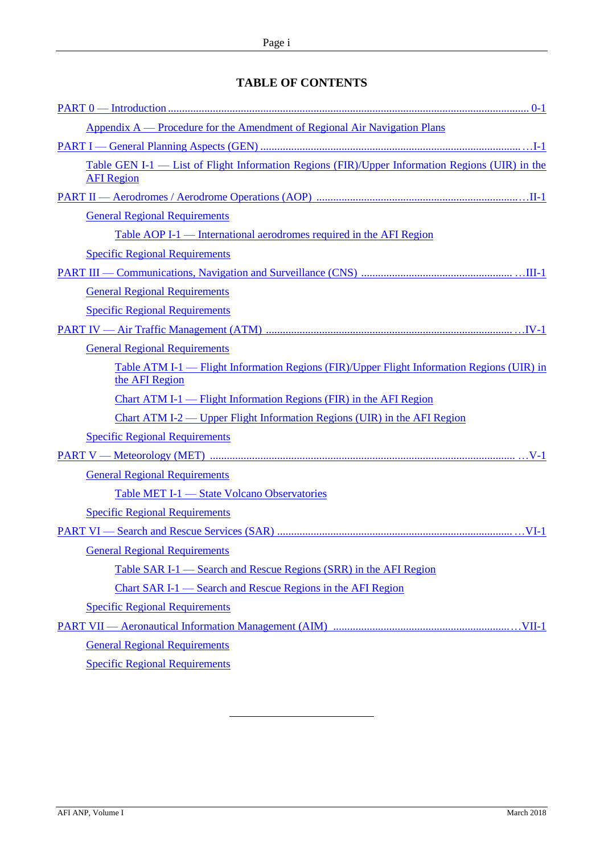# **TABLE OF CONTENTS**

| Appendix A — Procedure for the Amendment of Regional Air Navigation Plans                                            |
|----------------------------------------------------------------------------------------------------------------------|
|                                                                                                                      |
| Table GEN I-1 — List of Flight Information Regions (FIR)/Upper Information Regions (UIR) in the<br><b>AFI</b> Region |
|                                                                                                                      |
| <b>General Regional Requirements</b>                                                                                 |
| Table AOP I-1 — International aerodromes required in the AFI Region                                                  |
| <b>Specific Regional Requirements</b>                                                                                |
|                                                                                                                      |
| <b>General Regional Requirements</b>                                                                                 |
| <b>Specific Regional Requirements</b>                                                                                |
|                                                                                                                      |
| <b>General Regional Requirements</b>                                                                                 |
| <u>Table ATM I-1 — Flight Information Regions (FIR)/Upper Flight Information Regions (UIR) in</u><br>the AFI Region  |
| Chart ATM I-1 — Flight Information Regions (FIR) in the AFI Region                                                   |
| Chart ATM I-2 — Upper Flight Information Regions (UIR) in the AFI Region                                             |
| <b>Specific Regional Requirements</b>                                                                                |
|                                                                                                                      |
| <b>General Regional Requirements</b>                                                                                 |
| Table MET I-1 - State Volcano Observatories                                                                          |
| <b>Specific Regional Requirements</b>                                                                                |
|                                                                                                                      |
| <b>General Regional Requirements</b>                                                                                 |
| Table SAR I-1 — Search and Rescue Regions (SRR) in the AFI Region                                                    |
| Chart SAR I-1 — Search and Rescue Regions in the AFI Region                                                          |
| <b>Specific Regional Requirements</b>                                                                                |
|                                                                                                                      |
| <b>General Regional Requirements</b>                                                                                 |
| <b>Specific Regional Requirements</b>                                                                                |
|                                                                                                                      |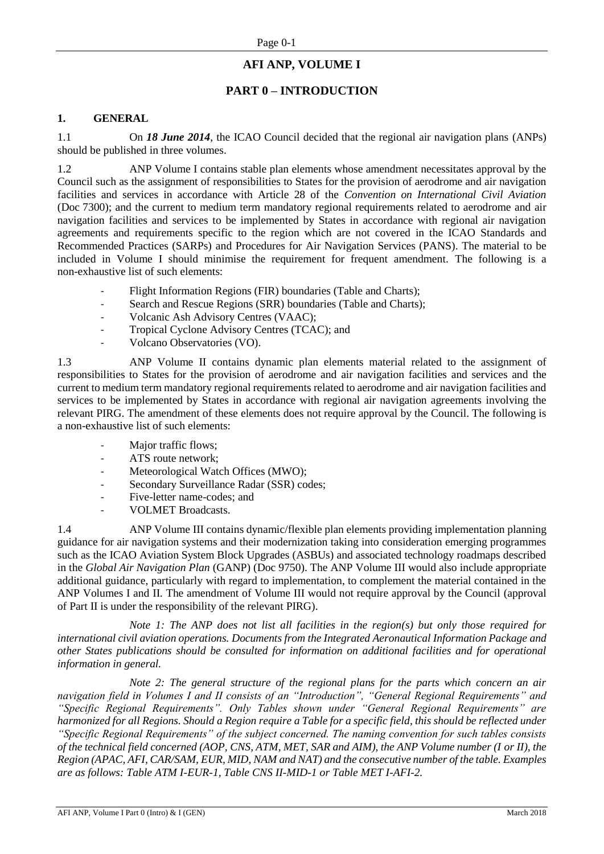# **AFI ANP, VOLUME I**

# **PART 0 – INTRODUCTION**

#### <span id="page-3-0"></span>**1. GENERAL**

1.1 On *18 June 2014*, the ICAO Council decided that the regional air navigation plans (ANPs) should be published in three volumes.

1.2 ANP Volume I contains stable plan elements whose amendment necessitates approval by the Council such as the assignment of responsibilities to States for the provision of aerodrome and air navigation facilities and services in accordance with Article 28 of the *Convention on International Civil Aviation* (Doc 7300); and the current to medium term mandatory regional requirements related to aerodrome and air navigation facilities and services to be implemented by States in accordance with regional air navigation agreements and requirements specific to the region which are not covered in the ICAO Standards and Recommended Practices (SARPs) and Procedures for Air Navigation Services (PANS). The material to be included in Volume I should minimise the requirement for frequent amendment. The following is a non-exhaustive list of such elements:

- Flight Information Regions (FIR) boundaries (Table and Charts);
- Search and Rescue Regions (SRR) boundaries (Table and Charts);
- Volcanic Ash Advisory Centres (VAAC);
- Tropical Cyclone Advisory Centres (TCAC); and
- Volcano Observatories (VO).

1.3 ANP Volume II contains dynamic plan elements material related to the assignment of responsibilities to States for the provision of aerodrome and air navigation facilities and services and the current to medium term mandatory regional requirements related to aerodrome and air navigation facilities and services to be implemented by States in accordance with regional air navigation agreements involving the relevant PIRG. The amendment of these elements does not require approval by the Council. The following is a non-exhaustive list of such elements:

- Major traffic flows;
- ATS route network:
- Meteorological Watch Offices (MWO);
- Secondary Surveillance Radar (SSR) codes;
- Five-letter name-codes; and
- VOLMET Broadcasts.

1.4 ANP Volume III contains dynamic/flexible plan elements providing implementation planning guidance for air navigation systems and their modernization taking into consideration emerging programmes such as the ICAO Aviation System Block Upgrades (ASBUs) and associated technology roadmaps described in the *Global Air Navigation Plan* (GANP) (Doc 9750). The ANP Volume III would also include appropriate additional guidance, particularly with regard to implementation, to complement the material contained in the ANP Volumes I and II. The amendment of Volume III would not require approval by the Council (approval of Part II is under the responsibility of the relevant PIRG).

*Note 1: The ANP does not list all facilities in the region(s) but only those required for international civil aviation operations. Documents from the Integrated Aeronautical Information Package and other States publications should be consulted for information on additional facilities and for operational information in general.*

*Note 2: The general structure of the regional plans for the parts which concern an air navigation field in Volumes I and II consists of an "Introduction", "General Regional Requirements" and "Specific Regional Requirements". Only Tables shown under "General Regional Requirements" are harmonized for all Regions. Should a Region require a Table for a specific field, this should be reflected under "Specific Regional Requirements" of the subject concerned. The naming convention for such tables consists of the technical field concerned (AOP, CNS, ATM, MET, SAR and AIM), the ANP Volume number (I or II), the Region (APAC, AFI, CAR/SAM, EUR, MID, NAM and NAT) and the consecutive number of the table. Examples are as follows: Table ATM I-EUR-1, Table CNS II-MID-1 or Table MET I-AFI-2.*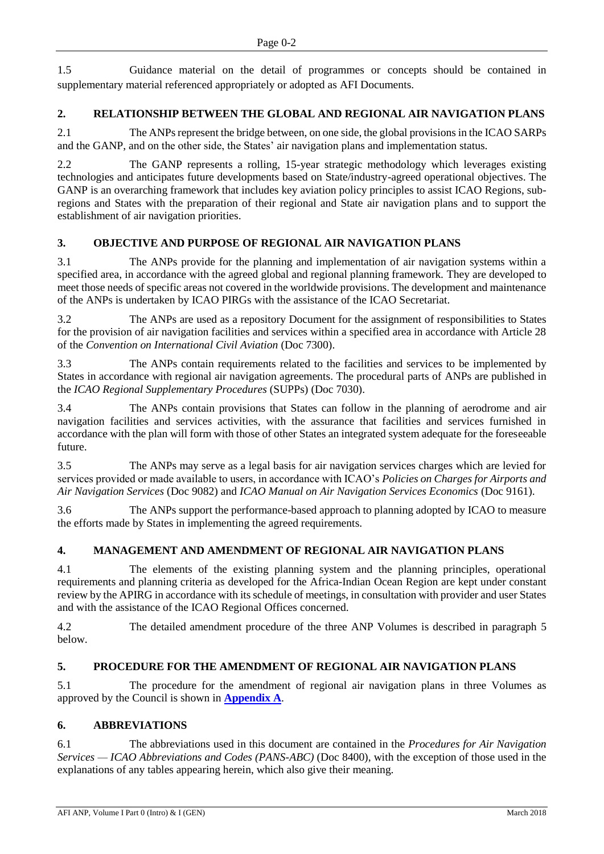1.5 Guidance material on the detail of programmes or concepts should be contained in supplementary material referenced appropriately or adopted as AFI Documents.

# **2. RELATIONSHIP BETWEEN THE GLOBAL AND REGIONAL AIR NAVIGATION PLANS**

2.1 The ANPs represent the bridge between, on one side, the global provisions in the ICAO SARPs and the GANP, and on the other side, the States' air navigation plans and implementation status.

2.2 The GANP represents a rolling, 15-year strategic methodology which leverages existing technologies and anticipates future developments based on State/industry-agreed operational objectives. The GANP is an overarching framework that includes key aviation policy principles to assist ICAO Regions, subregions and States with the preparation of their regional and State air navigation plans and to support the establishment of air navigation priorities.

# **3. OBJECTIVE AND PURPOSE OF REGIONAL AIR NAVIGATION PLANS**

3.1 The ANPs provide for the planning and implementation of air navigation systems within a specified area, in accordance with the agreed global and regional planning framework. They are developed to meet those needs of specific areas not covered in the worldwide provisions. The development and maintenance of the ANPs is undertaken by ICAO PIRGs with the assistance of the ICAO Secretariat.

3.2 The ANPs are used as a repository Document for the assignment of responsibilities to States for the provision of air navigation facilities and services within a specified area in accordance with Article 28 of the *Convention on International Civil Aviation* (Doc 7300).

3.3 The ANPs contain requirements related to the facilities and services to be implemented by States in accordance with regional air navigation agreements. The procedural parts of ANPs are published in the *ICAO Regional Supplementary Procedures* (SUPPs) (Doc 7030).

3.4 The ANPs contain provisions that States can follow in the planning of aerodrome and air navigation facilities and services activities, with the assurance that facilities and services furnished in accordance with the plan will form with those of other States an integrated system adequate for the foreseeable future.

3.5 The ANPs may serve as a legal basis for air navigation services charges which are levied for services provided or made available to users, in accordance with ICAO's *Policies on Charges for Airports and Air Navigation Services* (Doc 9082) and *ICAO Manual on Air Navigation Services Economics* (Doc 9161).

3.6 The ANPs support the performance-based approach to planning adopted by ICAO to measure the efforts made by States in implementing the agreed requirements.

# **4. MANAGEMENT AND AMENDMENT OF REGIONAL AIR NAVIGATION PLANS**

4.1 The elements of the existing planning system and the planning principles, operational requirements and planning criteria as developed for the Africa-Indian Ocean Region are kept under constant review by the APIRG in accordance with its schedule of meetings, in consultation with provider and user States and with the assistance of the ICAO Regional Offices concerned.

4.2 The detailed amendment procedure of the three ANP Volumes is described in paragraph 5 below.

# **5. PROCEDURE FOR THE AMENDMENT OF REGIONAL AIR NAVIGATION PLANS**

5.1 The procedure for the amendment of regional air navigation plans in three Volumes as approved by the Council is shown in **[Appendix A](#page-6-0)**.

# **6. ABBREVIATIONS**

6.1 The abbreviations used in this document are contained in the *Procedures for Air Navigation Services — ICAO Abbreviations and Codes (PANS-ABC)* (Doc 8400), with the exception of those used in the explanations of any tables appearing herein, which also give their meaning.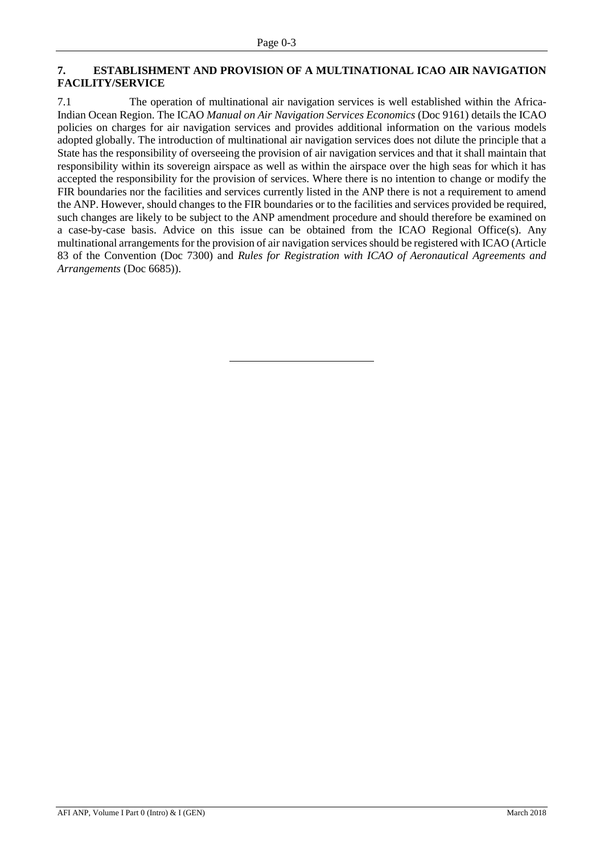#### **7. ESTABLISHMENT AND PROVISION OF A MULTINATIONAL ICAO AIR NAVIGATION FACILITY/SERVICE**

7.1 The operation of multinational air navigation services is well established within the Africa-Indian Ocean Region. The ICAO *Manual on Air Navigation Services Economics* (Doc 9161) details the ICAO policies on charges for air navigation services and provides additional information on the various models adopted globally. The introduction of multinational air navigation services does not dilute the principle that a State has the responsibility of overseeing the provision of air navigation services and that it shall maintain that responsibility within its sovereign airspace as well as within the airspace over the high seas for which it has accepted the responsibility for the provision of services. Where there is no intention to change or modify the FIR boundaries nor the facilities and services currently listed in the ANP there is not a requirement to amend the ANP. However, should changes to the FIR boundaries or to the facilities and services provided be required, such changes are likely to be subject to the ANP amendment procedure and should therefore be examined on a case-by-case basis. Advice on this issue can be obtained from the ICAO Regional Office(s). Any multinational arrangements for the provision of air navigation services should be registered with ICAO (Article 83 of the Convention (Doc 7300) and *Rules for Registration with ICAO of Aeronautical Agreements and Arrangements* (Doc 6685)).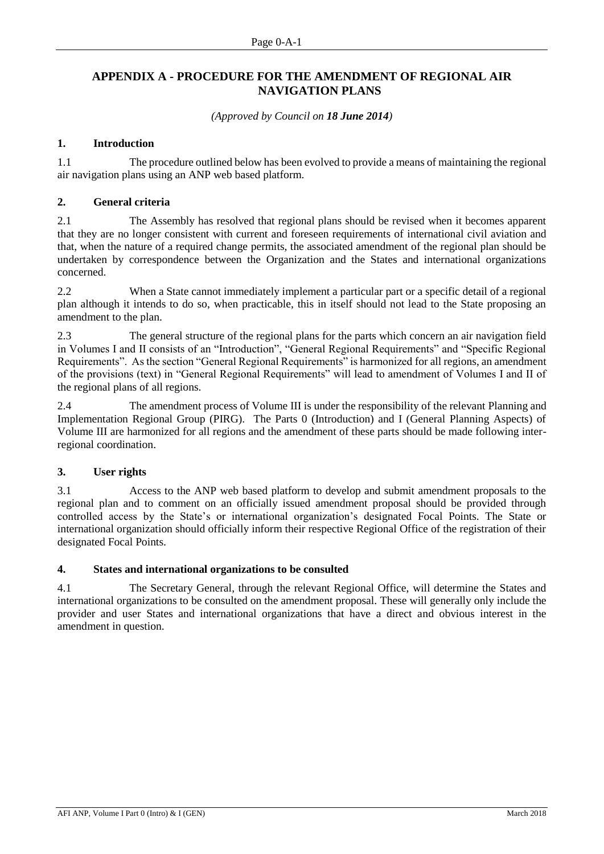# <span id="page-6-0"></span>**APPENDIX A - PROCEDURE FOR THE AMENDMENT OF REGIONAL AIR NAVIGATION PLANS**

*(Approved by Council on 18 June 2014)*

### **1. Introduction**

1.1 The procedure outlined below has been evolved to provide a means of maintaining the regional air navigation plans using an ANP web based platform.

#### **2. General criteria**

2.1 The Assembly has resolved that regional plans should be revised when it becomes apparent that they are no longer consistent with current and foreseen requirements of international civil aviation and that, when the nature of a required change permits, the associated amendment of the regional plan should be undertaken by correspondence between the Organization and the States and international organizations concerned.

2.2 When a State cannot immediately implement a particular part or a specific detail of a regional plan although it intends to do so, when practicable, this in itself should not lead to the State proposing an amendment to the plan.

2.3 The general structure of the regional plans for the parts which concern an air navigation field in Volumes I and II consists of an "Introduction", "General Regional Requirements" and "Specific Regional Requirements". As the section "General Regional Requirements" is harmonized for all regions, an amendment of the provisions (text) in "General Regional Requirements" will lead to amendment of Volumes I and II of the regional plans of all regions.

2.4 The amendment process of Volume III is under the responsibility of the relevant Planning and Implementation Regional Group (PIRG). The Parts 0 (Introduction) and I (General Planning Aspects) of Volume III are harmonized for all regions and the amendment of these parts should be made following interregional coordination.

# **3. User rights**

3.1 Access to the ANP web based platform to develop and submit amendment proposals to the regional plan and to comment on an officially issued amendment proposal should be provided through controlled access by the State's or international organization's designated Focal Points. The State or international organization should officially inform their respective Regional Office of the registration of their designated Focal Points.

#### **4. States and international organizations to be consulted**

4.1 The Secretary General, through the relevant Regional Office, will determine the States and international organizations to be consulted on the amendment proposal. These will generally only include the provider and user States and international organizations that have a direct and obvious interest in the amendment in question.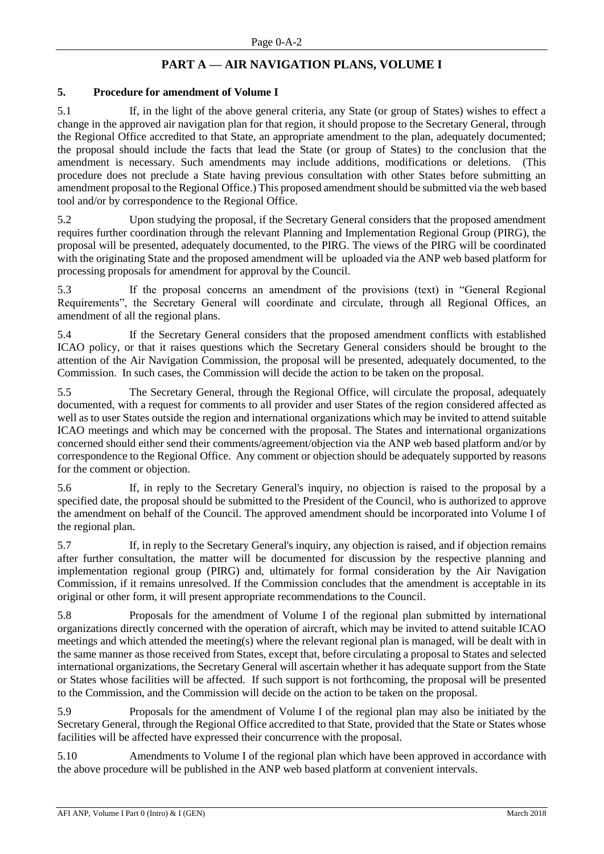# **PART A — AIR NAVIGATION PLANS, VOLUME I**

#### **5. Procedure for amendment of Volume I**

5.1 If, in the light of the above general criteria, any State (or group of States) wishes to effect a change in the approved air navigation plan for that region, it should propose to the Secretary General, through the Regional Office accredited to that State, an appropriate amendment to the plan, adequately documented; the proposal should include the facts that lead the State (or group of States) to the conclusion that the amendment is necessary. Such amendments may include additions, modifications or deletions. (This procedure does not preclude a State having previous consultation with other States before submitting an amendment proposal to the Regional Office.) This proposed amendment should be submitted via the web based tool and/or by correspondence to the Regional Office.

5.2 Upon studying the proposal, if the Secretary General considers that the proposed amendment requires further coordination through the relevant Planning and Implementation Regional Group (PIRG), the proposal will be presented, adequately documented, to the PIRG. The views of the PIRG will be coordinated with the originating State and the proposed amendment will be uploaded via the ANP web based platform for processing proposals for amendment for approval by the Council.

5.3 If the proposal concerns an amendment of the provisions (text) in "General Regional Requirements", the Secretary General will coordinate and circulate, through all Regional Offices, an amendment of all the regional plans.

5.4 If the Secretary General considers that the proposed amendment conflicts with established ICAO policy, or that it raises questions which the Secretary General considers should be brought to the attention of the Air Navigation Commission, the proposal will be presented, adequately documented, to the Commission. In such cases, the Commission will decide the action to be taken on the proposal.

5.5 The Secretary General, through the Regional Office, will circulate the proposal, adequately documented, with a request for comments to all provider and user States of the region considered affected as well as to user States outside the region and international organizations which may be invited to attend suitable ICAO meetings and which may be concerned with the proposal. The States and international organizations concerned should either send their comments/agreement/objection via the ANP web based platform and/or by correspondence to the Regional Office. Any comment or objection should be adequately supported by reasons for the comment or objection.

5.6 If, in reply to the Secretary General's inquiry, no objection is raised to the proposal by a specified date, the proposal should be submitted to the President of the Council, who is authorized to approve the amendment on behalf of the Council. The approved amendment should be incorporated into Volume I of the regional plan.

5.7 If, in reply to the Secretary General's inquiry, any objection is raised, and if objection remains after further consultation, the matter will be documented for discussion by the respective planning and implementation regional group (PIRG) and, ultimately for formal consideration by the Air Navigation Commission, if it remains unresolved. If the Commission concludes that the amendment is acceptable in its original or other form, it will present appropriate recommendations to the Council.

5.8 Proposals for the amendment of Volume I of the regional plan submitted by international organizations directly concerned with the operation of aircraft, which may be invited to attend suitable ICAO meetings and which attended the meeting(s) where the relevant regional plan is managed, will be dealt with in the same manner as those received from States, except that, before circulating a proposal to States and selected international organizations, the Secretary General will ascertain whether it has adequate support from the State or States whose facilities will be affected. If such support is not forthcoming, the proposal will be presented to the Commission, and the Commission will decide on the action to be taken on the proposal.

5.9 Proposals for the amendment of Volume I of the regional plan may also be initiated by the Secretary General, through the Regional Office accredited to that State, provided that the State or States whose facilities will be affected have expressed their concurrence with the proposal.

5.10 Amendments to Volume I of the regional plan which have been approved in accordance with the above procedure will be published in the ANP web based platform at convenient intervals.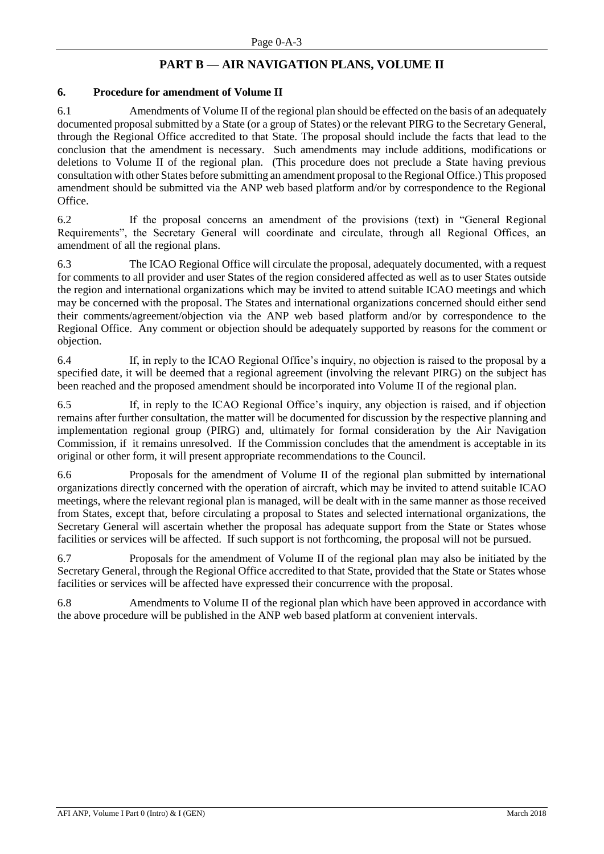# **PART B — AIR NAVIGATION PLANS, VOLUME II**

#### **6. Procedure for amendment of Volume II**

6.1 Amendments of Volume II of the regional plan should be effected on the basis of an adequately documented proposal submitted by a State (or a group of States) or the relevant PIRG to the Secretary General, through the Regional Office accredited to that State. The proposal should include the facts that lead to the conclusion that the amendment is necessary. Such amendments may include additions, modifications or deletions to Volume II of the regional plan. (This procedure does not preclude a State having previous consultation with other States before submitting an amendment proposal to the Regional Office.) This proposed amendment should be submitted via the ANP web based platform and/or by correspondence to the Regional Office.

6.2 If the proposal concerns an amendment of the provisions (text) in "General Regional Requirements", the Secretary General will coordinate and circulate, through all Regional Offices, an amendment of all the regional plans.

6.3 The ICAO Regional Office will circulate the proposal, adequately documented, with a request for comments to all provider and user States of the region considered affected as well as to user States outside the region and international organizations which may be invited to attend suitable ICAO meetings and which may be concerned with the proposal. The States and international organizations concerned should either send their comments/agreement/objection via the ANP web based platform and/or by correspondence to the Regional Office. Any comment or objection should be adequately supported by reasons for the comment or objection.

6.4 If, in reply to the ICAO Regional Office's inquiry, no objection is raised to the proposal by a specified date, it will be deemed that a regional agreement (involving the relevant PIRG) on the subject has been reached and the proposed amendment should be incorporated into Volume II of the regional plan.

6.5 If, in reply to the ICAO Regional Office's inquiry, any objection is raised, and if objection remains after further consultation, the matter will be documented for discussion by the respective planning and implementation regional group (PIRG) and, ultimately for formal consideration by the Air Navigation Commission, if it remains unresolved. If the Commission concludes that the amendment is acceptable in its original or other form, it will present appropriate recommendations to the Council.

6.6 Proposals for the amendment of Volume II of the regional plan submitted by international organizations directly concerned with the operation of aircraft, which may be invited to attend suitable ICAO meetings, where the relevant regional plan is managed, will be dealt with in the same manner as those received from States, except that, before circulating a proposal to States and selected international organizations, the Secretary General will ascertain whether the proposal has adequate support from the State or States whose facilities or services will be affected. If such support is not forthcoming, the proposal will not be pursued.

6.7 Proposals for the amendment of Volume II of the regional plan may also be initiated by the Secretary General, through the Regional Office accredited to that State, provided that the State or States whose facilities or services will be affected have expressed their concurrence with the proposal.

6.8 Amendments to Volume II of the regional plan which have been approved in accordance with the above procedure will be published in the ANP web based platform at convenient intervals.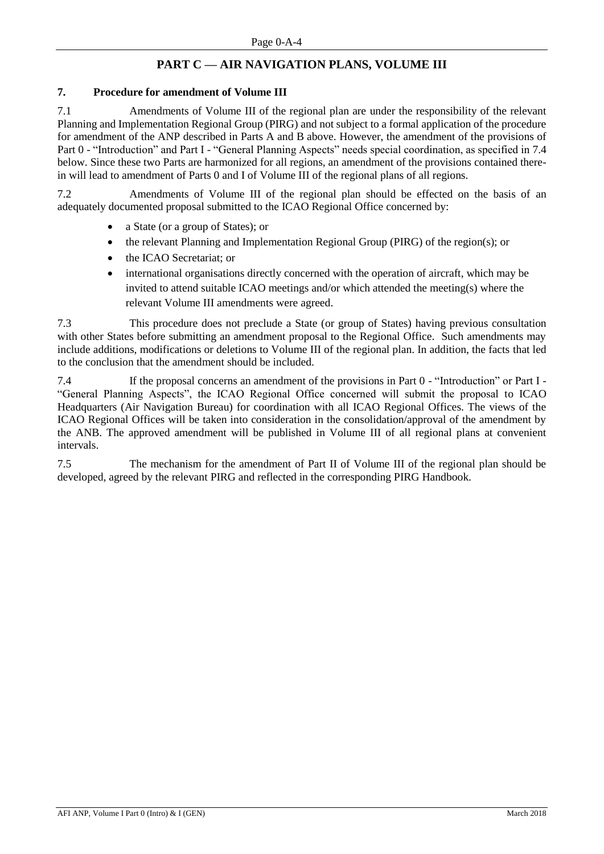# **PART C — AIR NAVIGATION PLANS, VOLUME III**

# **7. Procedure for amendment of Volume III**

7.1 Amendments of Volume III of the regional plan are under the responsibility of the relevant Planning and Implementation Regional Group (PIRG) and not subject to a formal application of the procedure for amendment of the ANP described in Parts A and B above. However, the amendment of the provisions of Part 0 - "Introduction" and Part I - "General Planning Aspects" needs special coordination, as specified in 7.4 below. Since these two Parts are harmonized for all regions, an amendment of the provisions contained therein will lead to amendment of Parts 0 and I of Volume III of the regional plans of all regions.

7.2 Amendments of Volume III of the regional plan should be effected on the basis of an adequately documented proposal submitted to the ICAO Regional Office concerned by:

- a State (or a group of States); or
- the relevant Planning and Implementation Regional Group (PIRG) of the region(s); or
- the ICAO Secretariat; or
- international organisations directly concerned with the operation of aircraft, which may be invited to attend suitable ICAO meetings and/or which attended the meeting(s) where the relevant Volume III amendments were agreed.

7.3 This procedure does not preclude a State (or group of States) having previous consultation with other States before submitting an amendment proposal to the Regional Office. Such amendments may include additions, modifications or deletions to Volume III of the regional plan. In addition, the facts that led to the conclusion that the amendment should be included.

7.4 If the proposal concerns an amendment of the provisions in Part 0 - "Introduction" or Part I - "General Planning Aspects", the ICAO Regional Office concerned will submit the proposal to ICAO Headquarters (Air Navigation Bureau) for coordination with all ICAO Regional Offices. The views of the ICAO Regional Offices will be taken into consideration in the consolidation/approval of the amendment by the ANB. The approved amendment will be published in Volume III of all regional plans at convenient intervals.

7.5 The mechanism for the amendment of Part II of Volume III of the regional plan should be developed, agreed by the relevant PIRG and reflected in the corresponding PIRG Handbook.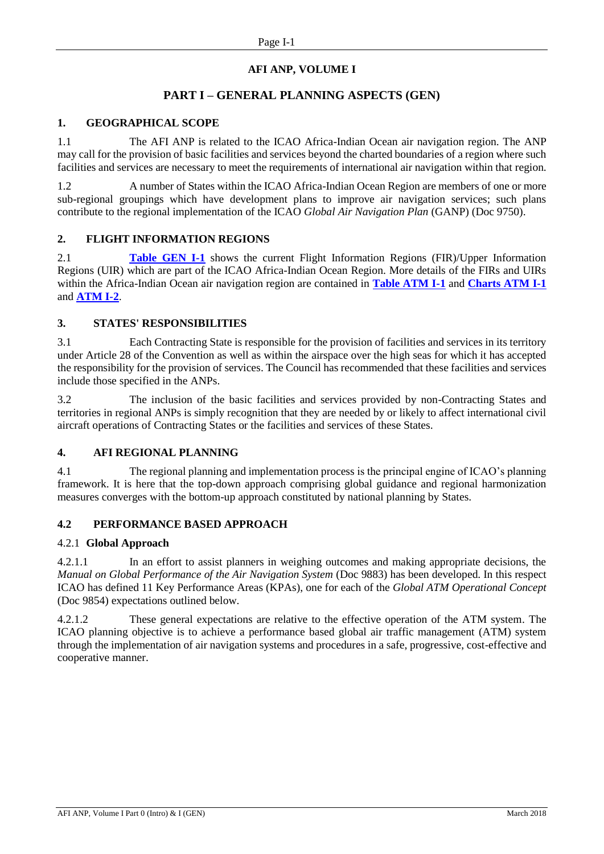# **AFI ANP, VOLUME I**

# **PART I – GENERAL PLANNING ASPECTS (GEN)**

### <span id="page-10-0"></span>**1. GEOGRAPHICAL SCOPE**

1.1 The AFI ANP is related to the ICAO Africa-Indian Ocean air navigation region. The ANP may call for the provision of basic facilities and services beyond the charted boundaries of a region where such facilities and services are necessary to meet the requirements of international air navigation within that region.

1.2 A number of States within the ICAO Africa-Indian Ocean Region are members of one or more sub-regional groupings which have development plans to improve air navigation services; such plans contribute to the regional implementation of the ICAO *Global Air Navigation Plan* (GANP) (Doc 9750).

#### **2. FLIGHT INFORMATION REGIONS**

2.1 **[Table GEN I-1](#page-15-0)** shows the current Flight Information Regions (FIR)/Upper Information Regions (UIR) which are part of the ICAO Africa-Indian Ocean Region. More details of the FIRs and UIRs within the Africa-Indian Ocean air navigation region are contained in **[Table ATM I-1](#page-33-0)** and **[Charts ATM I-1](#page-36-0)** and **[ATM I-2](#page-37-0)**.

#### **3. STATES' RESPONSIBILITIES**

3.1 Each Contracting State is responsible for the provision of facilities and services in its territory under Article 28 of the Convention as well as within the airspace over the high seas for which it has accepted the responsibility for the provision of services. The Council has recommended that these facilities and services include those specified in the ANPs.

3.2 The inclusion of the basic facilities and services provided by non-Contracting States and territories in regional ANPs is simply recognition that they are needed by or likely to affect international civil aircraft operations of Contracting States or the facilities and services of these States.

# **4. AFI REGIONAL PLANNING**

4.1 The regional planning and implementation process is the principal engine of ICAO's planning framework. It is here that the top-down approach comprising global guidance and regional harmonization measures converges with the bottom-up approach constituted by national planning by States.

# **4.2 PERFORMANCE BASED APPROACH**

#### 4.2.1 **Global Approach**

4.2.1.1 In an effort to assist planners in weighing outcomes and making appropriate decisions, the *Manual on Global Performance of the Air Navigation System (Doc 9883)* has been developed. In this respect ICAO has defined 11 Key Performance Areas (KPAs), one for each of the *Global ATM Operational Concept*  (Doc 9854) expectations outlined below.

4.2.1.2 These general expectations are relative to the effective operation of the ATM system. The ICAO planning objective is to achieve a performance based global air traffic management (ATM) system through the implementation of air navigation systems and procedures in a safe, progressive, cost-effective and cooperative manner.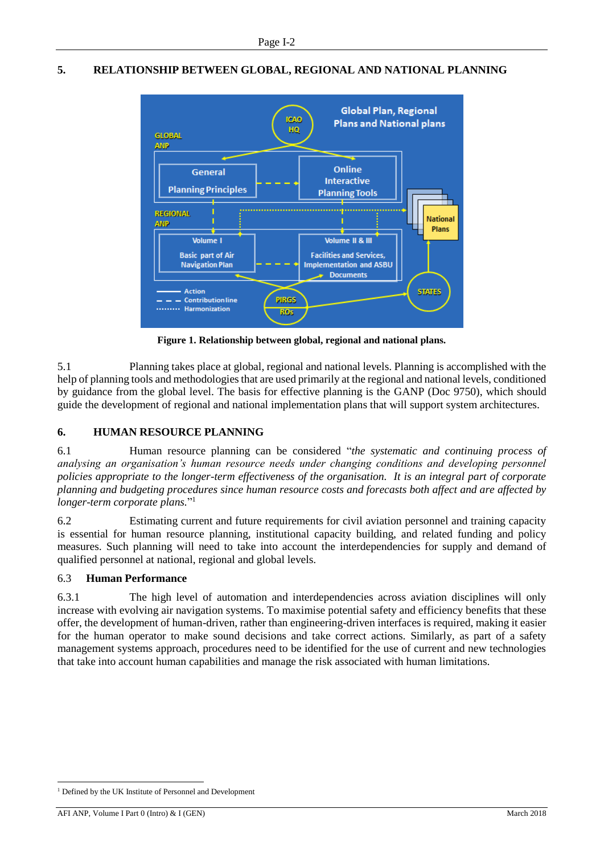# **5. RELATIONSHIP BETWEEN GLOBAL, REGIONAL AND NATIONAL PLANNING**



**Figure 1. Relationship between global, regional and national plans.**

5.1 Planning takes place at global, regional and national levels. Planning is accomplished with the help of planning tools and methodologies that are used primarily at the regional and national levels, conditioned by guidance from the global level. The basis for effective planning is the GANP (Doc 9750), which should guide the development of regional and national implementation plans that will support system architectures.

# **6. HUMAN RESOURCE PLANNING**

6.1 Human resource planning can be considered "*the systematic and continuing process of analysing an organisation's human resource needs under changing conditions and developing personnel policies appropriate to the longer-term effectiveness of the organisation. It is an integral part of corporate planning and budgeting procedures since human resource costs and forecasts both affect and are affected by longer-term corporate plans.*" 1

6.2 Estimating current and future requirements for civil aviation personnel and training capacity is essential for human resource planning, institutional capacity building, and related funding and policy measures. Such planning will need to take into account the interdependencies for supply and demand of qualified personnel at national, regional and global levels.

# 6.3 **Human Performance**

6.3.1 The high level of automation and interdependencies across aviation disciplines will only increase with evolving air navigation systems. To maximise potential safety and efficiency benefits that these offer, the development of human-driven, rather than engineering-driven interfaces is required, making it easier for the human operator to make sound decisions and take correct actions. Similarly, as part of a safety management systems approach, procedures need to be identified for the use of current and new technologies that take into account human capabilities and manage the risk associated with human limitations.

-

<sup>&</sup>lt;sup>1</sup> Defined by the UK Institute of Personnel and Development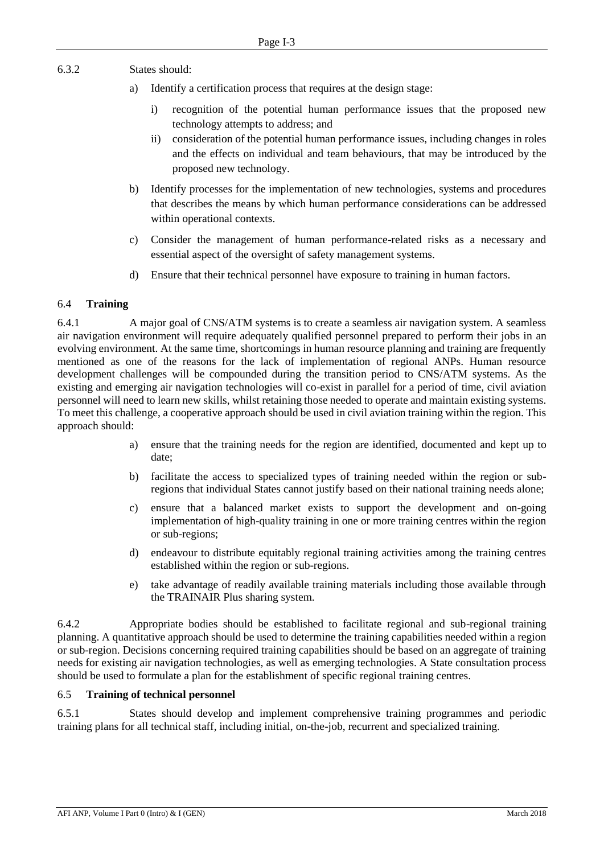6.3.2 States should:

- a) Identify a certification process that requires at the design stage:
	- i) recognition of the potential human performance issues that the proposed new technology attempts to address; and
	- ii) consideration of the potential human performance issues, including changes in roles and the effects on individual and team behaviours, that may be introduced by the proposed new technology.
- b) Identify processes for the implementation of new technologies, systems and procedures that describes the means by which human performance considerations can be addressed within operational contexts.
- c) Consider the management of human performance-related risks as a necessary and essential aspect of the oversight of safety management systems.
- d) Ensure that their technical personnel have exposure to training in human factors.

#### 6.4 **Training**

6.4.1 A major goal of CNS/ATM systems is to create a seamless air navigation system. A seamless air navigation environment will require adequately qualified personnel prepared to perform their jobs in an evolving environment. At the same time, shortcomings in human resource planning and training are frequently mentioned as one of the reasons for the lack of implementation of regional ANPs. Human resource development challenges will be compounded during the transition period to CNS/ATM systems. As the existing and emerging air navigation technologies will co-exist in parallel for a period of time, civil aviation personnel will need to learn new skills, whilst retaining those needed to operate and maintain existing systems. To meet this challenge, a cooperative approach should be used in civil aviation training within the region. This approach should:

- a) ensure that the training needs for the region are identified, documented and kept up to date;
- b) facilitate the access to specialized types of training needed within the region or subregions that individual States cannot justify based on their national training needs alone;
- c) ensure that a balanced market exists to support the development and on-going implementation of high-quality training in one or more training centres within the region or sub-regions;
- d) endeavour to distribute equitably regional training activities among the training centres established within the region or sub-regions.
- e) take advantage of readily available training materials including those available through the TRAINAIR Plus sharing system.

6.4.2 Appropriate bodies should be established to facilitate regional and sub-regional training planning. A quantitative approach should be used to determine the training capabilities needed within a region or sub-region. Decisions concerning required training capabilities should be based on an aggregate of training needs for existing air navigation technologies, as well as emerging technologies. A State consultation process should be used to formulate a plan for the establishment of specific regional training centres.

#### 6.5 **Training of technical personnel**

6.5.1 States should develop and implement comprehensive training programmes and periodic training plans for all technical staff, including initial, on-the-job, recurrent and specialized training.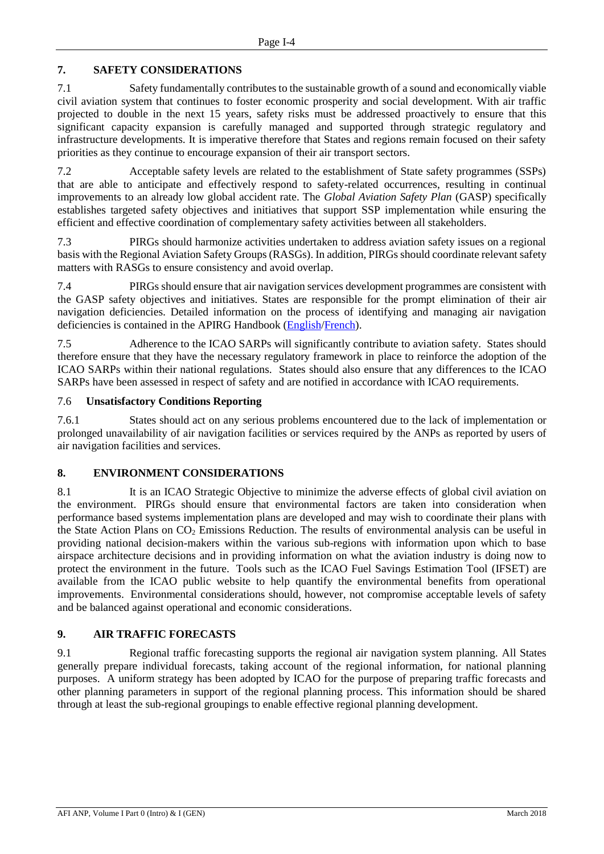# **7. SAFETY CONSIDERATIONS**

7.1 Safety fundamentally contributes to the sustainable growth of a sound and economically viable civil aviation system that continues to foster economic prosperity and social development. With air traffic projected to double in the next 15 years, safety risks must be addressed proactively to ensure that this significant capacity expansion is carefully managed and supported through strategic regulatory and infrastructure developments. It is imperative therefore that States and regions remain focused on their safety priorities as they continue to encourage expansion of their air transport sectors.

7.2 Acceptable safety levels are related to the establishment of State safety programmes (SSPs) that are able to anticipate and effectively respond to safety-related occurrences, resulting in continual improvements to an already low global accident rate. The *Global Aviation Safety Plan* (GASP) specifically establishes targeted safety objectives and initiatives that support SSP implementation while ensuring the efficient and effective coordination of complementary safety activities between all stakeholders.

7.3 PIRGs should harmonize activities undertaken to address aviation safety issues on a regional basis with the Regional Aviation Safety Groups (RASGs). In addition, PIRGs should coordinate relevant safety matters with RASGs to ensure consistency and avoid overlap.

7.4 PIRGs should ensure that air navigation services development programmes are consistent with the GASP safety objectives and initiatives. States are responsible for the prompt elimination of their air navigation deficiencies. Detailed information on the process of identifying and managing air navigation deficiencies is contained in the APIRG Handbook [\(English](http://www.icao.int/WACAF/Documents/APIRG/APIRG%20HANDBOOK-Eng.pdf)[/French\)](http://www.icao.int/WACAF/Documents/APIRG/APIRG%20HANDBOOK.pdf).

7.5 Adherence to the ICAO SARPs will significantly contribute to aviation safety. States should therefore ensure that they have the necessary regulatory framework in place to reinforce the adoption of the ICAO SARPs within their national regulations. States should also ensure that any differences to the ICAO SARPs have been assessed in respect of safety and are notified in accordance with ICAO requirements.

#### 7.6 **Unsatisfactory Conditions Reporting**

7.6.1 States should act on any serious problems encountered due to the lack of implementation or prolonged unavailability of air navigation facilities or services required by the ANPs as reported by users of air navigation facilities and services.

# **8. ENVIRONMENT CONSIDERATIONS**

8.1 It is an ICAO Strategic Objective to minimize the adverse effects of global civil aviation on the environment. PIRGs should ensure that environmental factors are taken into consideration when performance based systems implementation plans are developed and may wish to coordinate their plans with the State Action Plans on  $CO<sub>2</sub>$  Emissions Reduction. The results of environmental analysis can be useful in providing national decision-makers within the various sub-regions with information upon which to base airspace architecture decisions and in providing information on what the aviation industry is doing now to protect the environment in the future. Tools such as the ICAO Fuel Savings Estimation Tool (IFSET) are available from the ICAO public website to help quantify the environmental benefits from operational improvements. Environmental considerations should, however, not compromise acceptable levels of safety and be balanced against operational and economic considerations.

# **9. AIR TRAFFIC FORECASTS**

9.1 Regional traffic forecasting supports the regional air navigation system planning. All States generally prepare individual forecasts, taking account of the regional information, for national planning purposes. A uniform strategy has been adopted by ICAO for the purpose of preparing traffic forecasts and other planning parameters in support of the regional planning process. This information should be shared through at least the sub-regional groupings to enable effective regional planning development.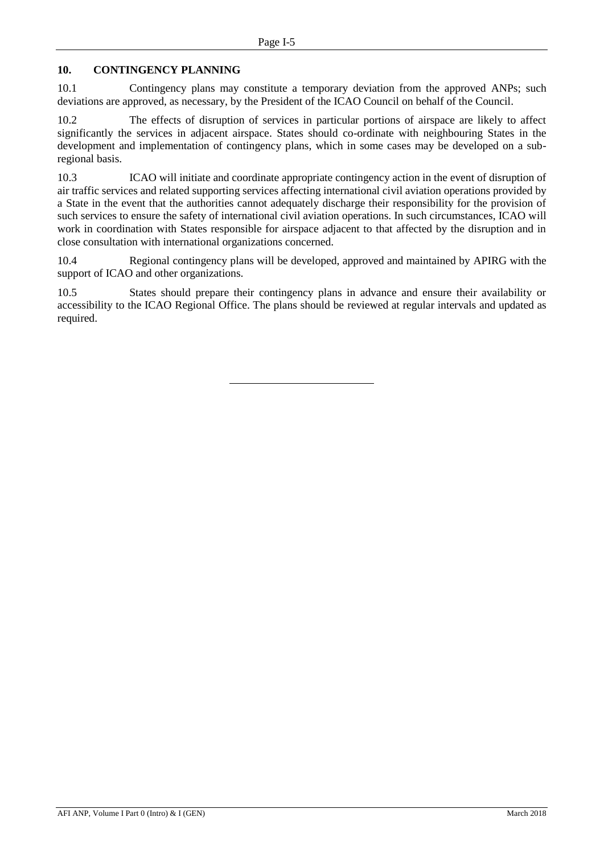# **10. CONTINGENCY PLANNING**

10.1 Contingency plans may constitute a temporary deviation from the approved ANPs; such deviations are approved, as necessary, by the President of the ICAO Council on behalf of the Council.

10.2 The effects of disruption of services in particular portions of airspace are likely to affect significantly the services in adjacent airspace. States should co-ordinate with neighbouring States in the development and implementation of contingency plans, which in some cases may be developed on a subregional basis.

10.3 ICAO will initiate and coordinate appropriate contingency action in the event of disruption of air traffic services and related supporting services affecting international civil aviation operations provided by a State in the event that the authorities cannot adequately discharge their responsibility for the provision of such services to ensure the safety of international civil aviation operations. In such circumstances, ICAO will work in coordination with States responsible for airspace adjacent to that affected by the disruption and in close consultation with international organizations concerned.

10.4 Regional contingency plans will be developed, approved and maintained by APIRG with the support of ICAO and other organizations.

10.5 States should prepare their contingency plans in advance and ensure their availability or accessibility to the ICAO Regional Office. The plans should be reviewed at regular intervals and updated as required.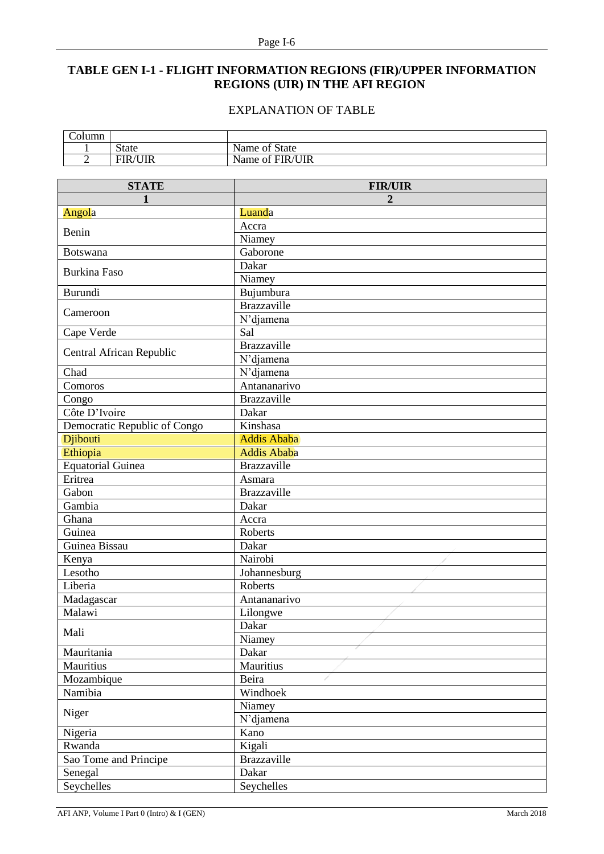# <span id="page-15-0"></span>**TABLE GEN I-1 - FLIGHT INFORMATION REGIONS (FIR)/UPPER INFORMATION REGIONS (UIR) IN THE AFI REGION**

# EXPLANATION OF TABLE

| ำlumn |                    |                     |
|-------|--------------------|---------------------|
|       | <b>State</b>       | State<br>Name of    |
|       | 'UIR<br><b>FIR</b> | /UIR<br>Name of FIR |

| <b>STATE</b>                 | <b>FIR/UIR</b>     |
|------------------------------|--------------------|
| 1                            | $\boldsymbol{2}$   |
| Angola                       | Luanda             |
|                              | Accra              |
| Benin                        | Niamey             |
| Botswana                     | Gaborone           |
|                              | Dakar              |
| <b>Burkina Faso</b>          | Niamey             |
| Burundi                      | Bujumbura          |
|                              | Brazzaville        |
| Cameroon                     | N'djamena          |
| Cape Verde                   | Sal                |
|                              | Brazzaville        |
| Central African Republic     | N'djamena          |
| Chad                         | N'djamena          |
| Comoros                      | Antananarivo       |
| Congo                        | <b>Brazzaville</b> |
| Côte D'Ivoire                | Dakar              |
| Democratic Republic of Congo | Kinshasa           |
| Djibouti                     | <b>Addis Ababa</b> |
| Ethiopia                     | <b>Addis Ababa</b> |
| <b>Equatorial Guinea</b>     | <b>Brazzaville</b> |
| Eritrea                      | Asmara             |
| Gabon                        | <b>Brazzaville</b> |
| Gambia                       | Dakar              |
| Ghana                        | Accra              |
| Guinea                       | Roberts            |
| Guinea Bissau                | Dakar              |
| Kenya                        | Nairobi            |
| Lesotho                      | Johannesburg       |
| Liberia                      | Roberts            |
| Madagascar                   | Antananarivo       |
| Malawi                       | Lilongwe           |
|                              | Dakar              |
| Mali                         | Niamey             |
| Mauritania                   | Dakar              |
| Mauritius                    | Mauritius          |
| Mozambique                   | Beira              |
| Namibia                      | Windhoek           |
|                              | Niamey             |
| Niger                        | N'djamena          |
| Nigeria                      | Kano               |
| Rwanda                       | Kigali             |
| Sao Tome and Principe        | Brazzaville        |
| Senegal                      | Dakar              |
| Seychelles                   | Seychelles         |
|                              |                    |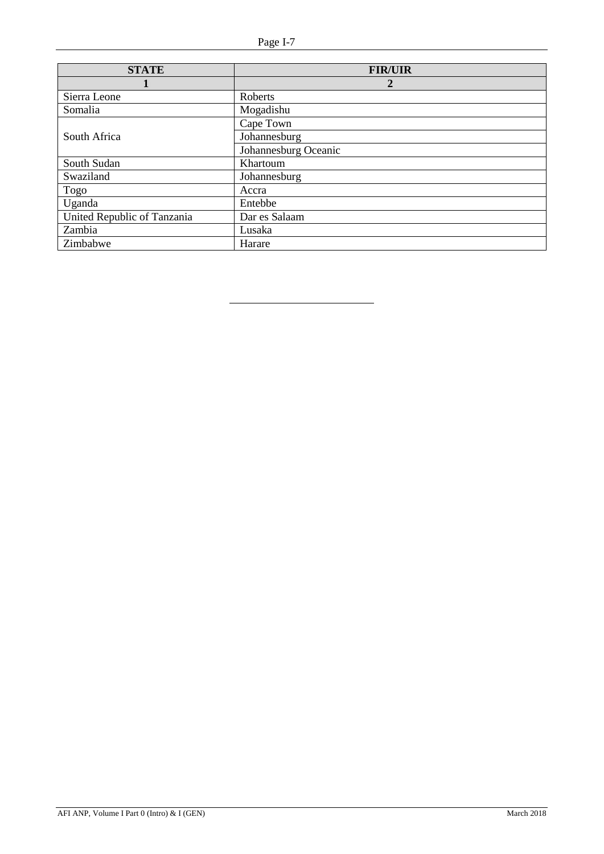| <b>STATE</b>                | <b>FIR/UIR</b>       |
|-----------------------------|----------------------|
|                             | 2                    |
| Sierra Leone                | Roberts              |
| Somalia                     | Mogadishu            |
|                             | Cape Town            |
| South Africa                | Johannesburg         |
|                             | Johannesburg Oceanic |
| South Sudan                 | Khartoum             |
| Swaziland                   | Johannesburg         |
| Togo                        | Accra                |
| Uganda                      | Entebbe              |
| United Republic of Tanzania | Dar es Salaam        |
| Zambia                      | Lusaka               |
| Zimbabwe                    | Harare               |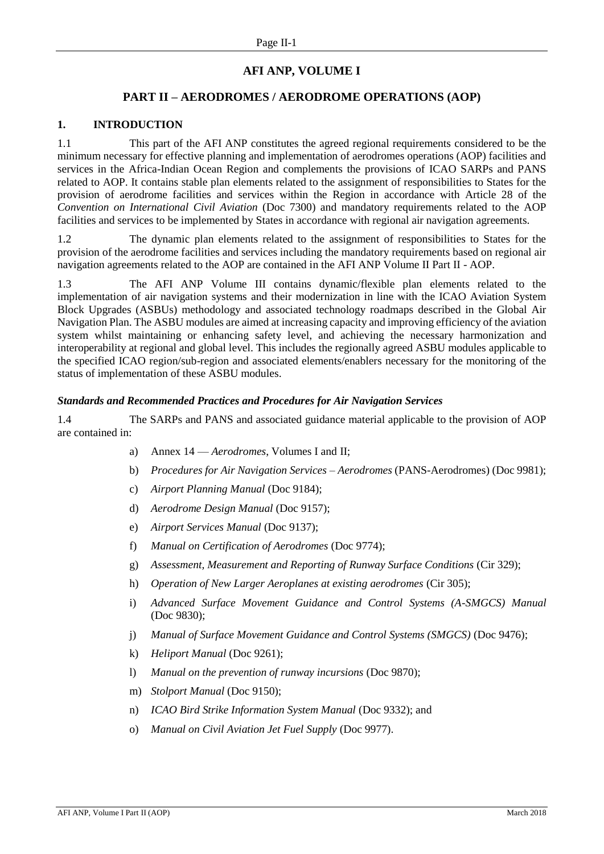# **AFI ANP, VOLUME I**

# **PART II – AERODROMES / AERODROME OPERATIONS (AOP)**

#### <span id="page-17-0"></span>**1. INTRODUCTION**

1.1 This part of the AFI ANP constitutes the agreed regional requirements considered to be the minimum necessary for effective planning and implementation of aerodromes operations (AOP) facilities and services in the Africa-Indian Ocean Region and complements the provisions of ICAO SARPs and PANS related to AOP. It contains stable plan elements related to the assignment of responsibilities to States for the provision of aerodrome facilities and services within the Region in accordance with Article 28 of the *Convention on International Civil Aviation* (Doc 7300) and mandatory requirements related to the AOP facilities and services to be implemented by States in accordance with regional air navigation agreements.

1.2 The dynamic plan elements related to the assignment of responsibilities to States for the provision of the aerodrome facilities and services including the mandatory requirements based on regional air navigation agreements related to the AOP are contained in the AFI ANP Volume II Part II - AOP.

1.3 The AFI ANP Volume III contains dynamic/flexible plan elements related to the implementation of air navigation systems and their modernization in line with the ICAO Aviation System Block Upgrades (ASBUs) methodology and associated technology roadmaps described in the Global Air Navigation Plan. The ASBU modules are aimed at increasing capacity and improving efficiency of the aviation system whilst maintaining or enhancing safety level, and achieving the necessary harmonization and interoperability at regional and global level. This includes the regionally agreed ASBU modules applicable to the specified ICAO region/sub-region and associated elements/enablers necessary for the monitoring of the status of implementation of these ASBU modules.

#### *Standards and Recommended Practices and Procedures for Air Navigation Services*

1.4 The SARPs and PANS and associated guidance material applicable to the provision of AOP are contained in:

- a) Annex 14 *Aerodromes*, Volumes I and II;
- b) *Procedures for Air Navigation Services – Aerodromes* (PANS-Aerodromes) (Doc 9981);
- c) *Airport Planning Manual* (Doc 9184);
- d) *Aerodrome Design Manual* (Doc 9157);
- e) *Airport Services Manual* (Doc 9137);
- f) *Manual on Certification of Aerodromes* (Doc 9774);
- g) *Assessment, Measurement and Reporting of Runway Surface Conditions* (Cir 329);
- h) *Operation of New Larger Aeroplanes at existing aerodromes* (Cir 305);
- i) *Advanced Surface Movement Guidance and Control Systems (A-SMGCS) Manual* (Doc 9830);
- j) *Manual of Surface Movement Guidance and Control Systems (SMGCS)* (Doc 9476);
- k) *Heliport Manual* (Doc 9261);
- l) *Manual on the prevention of runway incursions* (Doc 9870);
- m) *Stolport Manual* (Doc 9150);
- n) *ICAO Bird Strike Information System Manual* (Doc 9332); and
- o) *Manual on Civil Aviation Jet Fuel Supply* (Doc 9977).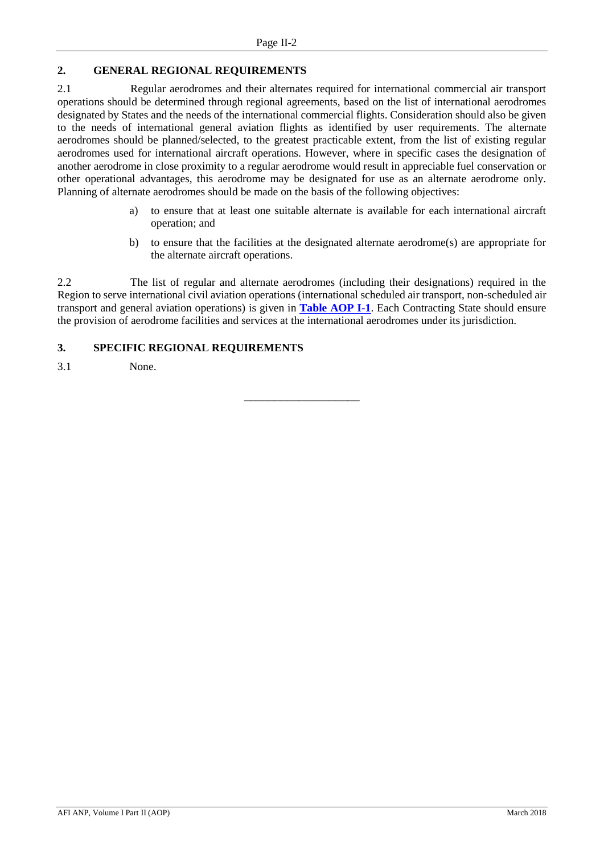# <span id="page-18-0"></span>**2. GENERAL REGIONAL REQUIREMENTS**

2.1 Regular aerodromes and their alternates required for international commercial air transport operations should be determined through regional agreements, based on the list of international aerodromes designated by States and the needs of the international commercial flights. Consideration should also be given to the needs of international general aviation flights as identified by user requirements. The alternate aerodromes should be planned/selected, to the greatest practicable extent, from the list of existing regular aerodromes used for international aircraft operations. However, where in specific cases the designation of another aerodrome in close proximity to a regular aerodrome would result in appreciable fuel conservation or other operational advantages, this aerodrome may be designated for use as an alternate aerodrome only. Planning of alternate aerodromes should be made on the basis of the following objectives:

- a) to ensure that at least one suitable alternate is available for each international aircraft operation; and
- b) to ensure that the facilities at the designated alternate aerodrome(s) are appropriate for the alternate aircraft operations.

2.2 The list of regular and alternate aerodromes (including their designations) required in the Region to serve international civil aviation operations (international scheduled air transport, non-scheduled air transport and general aviation operations) is given in **[Table AOP I-1](#page-19-0)**. Each Contracting State should ensure the provision of aerodrome facilities and services at the international aerodromes under its jurisdiction.

# <span id="page-18-1"></span>**3. SPECIFIC REGIONAL REQUIREMENTS**

3.1 None.

 $\frac{1}{\sqrt{2\pi\left(\frac{1}{2}\right)}}$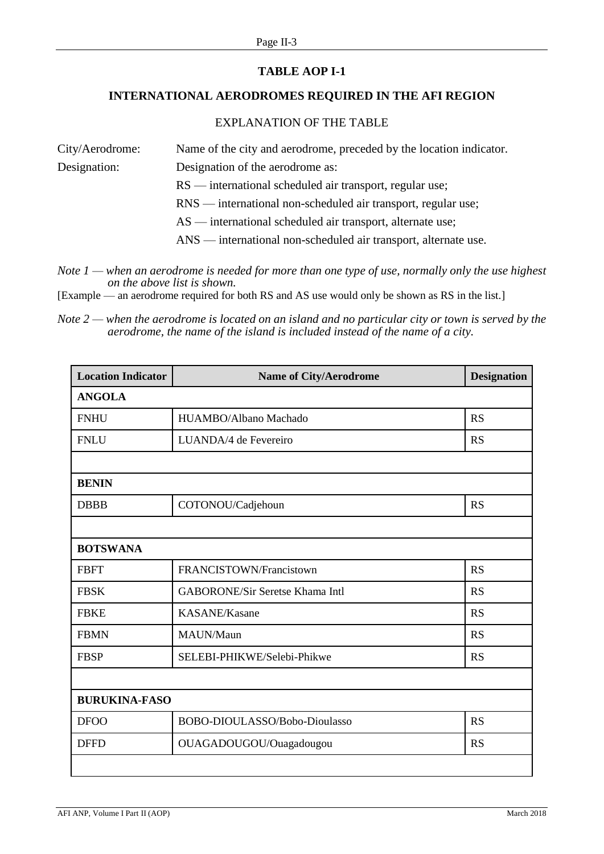# **TABLE AOP I-1**

# <span id="page-19-0"></span>**INTERNATIONAL AERODROMES REQUIRED IN THE AFI REGION**

# EXPLANATION OF THE TABLE

| City/Aerodrome: | Name of the city and aerodrome, preceded by the location indicator. |
|-----------------|---------------------------------------------------------------------|
| Designation:    | Designation of the aerodrome as:                                    |
|                 | $RS$ — international scheduled air transport, regular use;          |
|                 | RNS — international non-scheduled air transport, regular use;       |
|                 | $AS$ — international scheduled air transport, alternate use;        |
|                 | ANS — international non-scheduled air transport, alternate use.     |

*Note 1 — when an aerodrome is needed for more than one type of use, normally only the use highest on the above list is shown.* 

[Example — an aerodrome required for both RS and AS use would only be shown as RS in the list.]

*Note 2 — when the aerodrome is located on an island and no particular city or town is served by the aerodrome, the name of the island is included instead of the name of a city.*

| <b>Location Indicator</b> | <b>Name of City/Aerodrome</b>          | <b>Designation</b> |  |  |
|---------------------------|----------------------------------------|--------------------|--|--|
| <b>ANGOLA</b>             |                                        |                    |  |  |
| <b>FNHU</b>               | HUAMBO/Albano Machado                  | <b>RS</b>          |  |  |
| <b>FNLU</b>               | LUANDA/4 de Fevereiro                  | <b>RS</b>          |  |  |
|                           |                                        |                    |  |  |
| <b>BENIN</b>              |                                        |                    |  |  |
| <b>DBBB</b>               | COTONOU/Cadjehoun                      | <b>RS</b>          |  |  |
|                           |                                        |                    |  |  |
| <b>BOTSWANA</b>           |                                        |                    |  |  |
| <b>FBFT</b>               | FRANCISTOWN/Francistown                | <b>RS</b>          |  |  |
| <b>FBSK</b>               | <b>GABORONE/Sir Seretse Khama Intl</b> | <b>RS</b>          |  |  |
| <b>FBKE</b>               | <b>KASANE/Kasane</b>                   | <b>RS</b>          |  |  |
| <b>FBMN</b>               | MAUN/Maun                              | <b>RS</b>          |  |  |
| <b>FBSP</b>               | SELEBI-PHIKWE/Selebi-Phikwe            | <b>RS</b>          |  |  |
|                           |                                        |                    |  |  |
| <b>BURUKINA-FASO</b>      |                                        |                    |  |  |
| <b>DFOO</b>               | BOBO-DIOULASSO/Bobo-Dioulasso          | <b>RS</b>          |  |  |
| <b>DFFD</b>               | OUAGADOUGOU/Ouagadougou                | <b>RS</b>          |  |  |
|                           |                                        |                    |  |  |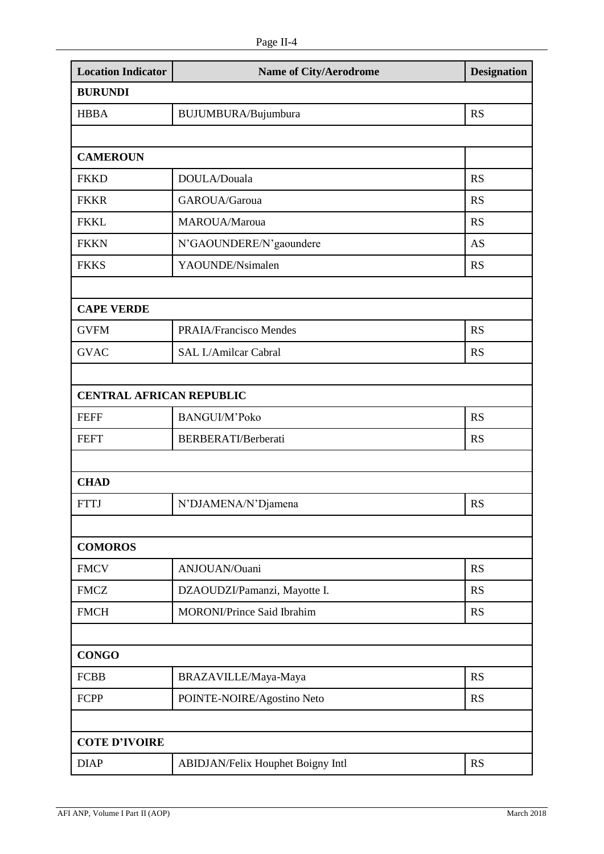| <b>Location Indicator</b>       | <b>Name of City/Aerodrome</b>     | <b>Designation</b> |  |
|---------------------------------|-----------------------------------|--------------------|--|
| <b>BURUNDI</b>                  |                                   |                    |  |
| <b>HBBA</b>                     | BUJUMBURA/Bujumbura               | <b>RS</b>          |  |
|                                 |                                   |                    |  |
| <b>CAMEROUN</b>                 |                                   |                    |  |
| <b>FKKD</b>                     | DOULA/Douala                      | <b>RS</b>          |  |
| <b>FKKR</b>                     | GAROUA/Garoua                     | <b>RS</b>          |  |
| <b>FKKL</b>                     | MAROUA/Maroua                     | <b>RS</b>          |  |
| <b>FKKN</b>                     | N'GAOUNDERE/N'gaoundere           | AS                 |  |
| <b>FKKS</b>                     | YAOUNDE/Nsimalen                  | <b>RS</b>          |  |
|                                 |                                   |                    |  |
| <b>CAPE VERDE</b>               |                                   |                    |  |
| <b>GVFM</b>                     | <b>PRAIA/Francisco Mendes</b>     | <b>RS</b>          |  |
| <b>GVAC</b>                     | SAL I./Amilcar Cabral             | <b>RS</b>          |  |
|                                 |                                   |                    |  |
| <b>CENTRAL AFRICAN REPUBLIC</b> |                                   |                    |  |
| <b>FEFF</b>                     | BANGUI/M'Poko                     | <b>RS</b>          |  |
| <b>FEFT</b>                     | BERBERATI/Berberati               | <b>RS</b>          |  |
|                                 |                                   |                    |  |
| <b>CHAD</b>                     |                                   |                    |  |
| <b>FTTJ</b>                     | N'DJAMENA/N'Djamena               | <b>RS</b>          |  |
|                                 |                                   |                    |  |
| <b>COMOROS</b>                  |                                   |                    |  |
| <b>FMCV</b>                     | ANJOUAN/Ouani                     | <b>RS</b>          |  |
| <b>FMCZ</b>                     | DZAOUDZI/Pamanzi, Mayotte I.      | <b>RS</b>          |  |
| <b>FMCH</b>                     | <b>MORONI/Prince Said Ibrahim</b> | <b>RS</b>          |  |
|                                 |                                   |                    |  |
| <b>CONGO</b>                    |                                   |                    |  |
| <b>FCBB</b>                     | BRAZAVILLE/Maya-Maya              | <b>RS</b>          |  |
| <b>FCPP</b>                     | POINTE-NOIRE/Agostino Neto        | <b>RS</b>          |  |
|                                 |                                   |                    |  |
| <b>COTE D'IVOIRE</b>            |                                   |                    |  |
| <b>DIAP</b>                     | ABIDJAN/Felix Houphet Boigny Intl | <b>RS</b>          |  |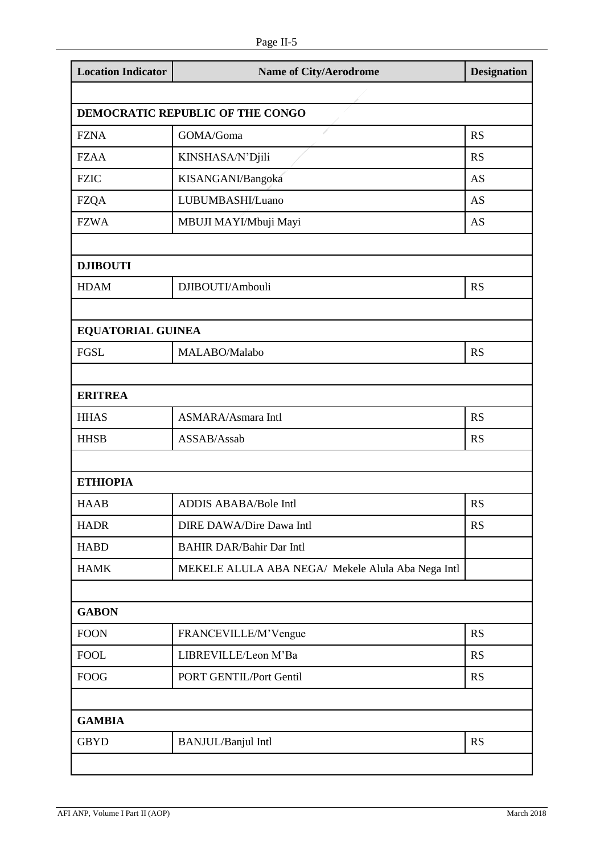| <b>Location Indicator</b>        | <b>Name of City/Aerodrome</b>                     | <b>Designation</b> |  |
|----------------------------------|---------------------------------------------------|--------------------|--|
|                                  |                                                   |                    |  |
| DEMOCRATIC REPUBLIC OF THE CONGO |                                                   |                    |  |
| <b>FZNA</b>                      | 1<br>GOMA/Goma                                    | <b>RS</b>          |  |
| <b>FZAA</b>                      | KINSHASA/N'Djili                                  | <b>RS</b>          |  |
| <b>FZIC</b>                      | KISANGANI/Bangoka                                 | <b>AS</b>          |  |
| <b>FZQA</b>                      | LUBUMBASHI/Luano                                  | <b>AS</b>          |  |
| <b>FZWA</b>                      | MBUJI MAYI/Mbuji Mayi                             | AS                 |  |
| <b>DJIBOUTI</b>                  |                                                   |                    |  |
| <b>HDAM</b>                      | DJIBOUTI/Ambouli                                  | <b>RS</b>          |  |
| <b>EQUATORIAL GUINEA</b>         |                                                   |                    |  |
| <b>FGSL</b>                      | MALABO/Malabo                                     | <b>RS</b>          |  |
|                                  |                                                   |                    |  |
| <b>ERITREA</b>                   |                                                   |                    |  |
| <b>HHAS</b>                      | <b>ASMARA/Asmara Intl</b>                         | <b>RS</b>          |  |
| <b>HHSB</b>                      | ASSAB/Assab                                       | <b>RS</b>          |  |
| <b>ETHIOPIA</b>                  |                                                   |                    |  |
| <b>HAAB</b>                      | <b>ADDIS ABABA/Bole Intl</b>                      | <b>RS</b>          |  |
| <b>HADR</b>                      | <b>DIRE DAWA/Dire Dawa Intl</b>                   | <b>RS</b>          |  |
| <b>HABD</b>                      | <b>BAHIR DAR/Bahir Dar Intl</b>                   |                    |  |
| <b>HAMK</b>                      | MEKELE ALULA ABA NEGA/ Mekele Alula Aba Nega Intl |                    |  |
| <b>GABON</b>                     |                                                   |                    |  |
| <b>FOON</b>                      | FRANCEVILLE/M'Vengue                              | <b>RS</b>          |  |
| <b>FOOL</b>                      | LIBREVILLE/Leon M'Ba                              | <b>RS</b>          |  |
| <b>FOOG</b>                      | PORT GENTIL/Port Gentil                           | <b>RS</b>          |  |
|                                  |                                                   |                    |  |
| <b>GAMBIA</b>                    |                                                   |                    |  |
| <b>GBYD</b>                      | <b>BANJUL/Banjul Intl</b>                         | <b>RS</b>          |  |

ı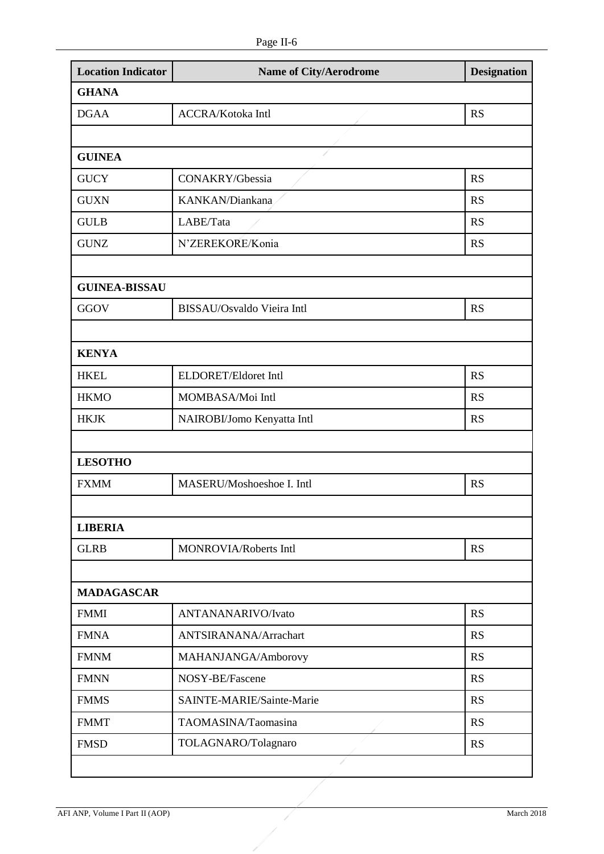| <b>GHANA</b><br><b>DGAA</b> |                            |           |
|-----------------------------|----------------------------|-----------|
|                             |                            |           |
|                             | <b>ACCRA/Kotoka Intl</b>   | <b>RS</b> |
|                             |                            |           |
| <b>GUINEA</b>               |                            |           |
| <b>GUCY</b>                 | CONAKRY/Gbessia            | <b>RS</b> |
| <b>GUXN</b>                 | KANKAN/Diankana            | <b>RS</b> |
| <b>GULB</b>                 | LABE/Tata                  | <b>RS</b> |
| <b>GUNZ</b>                 | N'ZEREKORE/Konia           | <b>RS</b> |
|                             |                            |           |
| <b>GUINEA-BISSAU</b>        |                            |           |
| <b>GGOV</b>                 | BISSAU/Osvaldo Vieira Intl | <b>RS</b> |
|                             |                            |           |
| <b>KENYA</b>                |                            |           |
| <b>HKEL</b>                 | ELDORET/Eldoret Intl       | <b>RS</b> |
| <b>HKMO</b>                 | MOMBASA/Moi Intl           | <b>RS</b> |
| <b>HKJK</b>                 | NAIROBI/Jomo Kenyatta Intl | <b>RS</b> |
|                             |                            |           |
| <b>LESOTHO</b>              |                            |           |
| <b>FXMM</b>                 | MASERU/Moshoeshoe I. Intl  | <b>RS</b> |
|                             |                            |           |
| <b>LIBERIA</b>              |                            |           |
| <b>GLRB</b>                 | MONROVIA/Roberts Intl      | <b>RS</b> |
|                             |                            |           |
| <b>MADAGASCAR</b>           |                            |           |
| <b>FMMI</b>                 | ANTANANARIVO/Ivato         | <b>RS</b> |
| <b>FMNA</b>                 | ANTSIRANANA/Arrachart      | <b>RS</b> |
| <b>FMNM</b>                 | MAHANJANGA/Amborovy        | <b>RS</b> |
| <b>FMNN</b>                 | NOSY-BE/Fascene            | <b>RS</b> |
| <b>FMMS</b>                 | SAINTE-MARIE/Sainte-Marie  | <b>RS</b> |
| <b>FMMT</b>                 | TAOMASINA/Taomasina        | <b>RS</b> |
| <b>FMSD</b>                 | TOLAGNARO/Tolagnaro        | <b>RS</b> |

X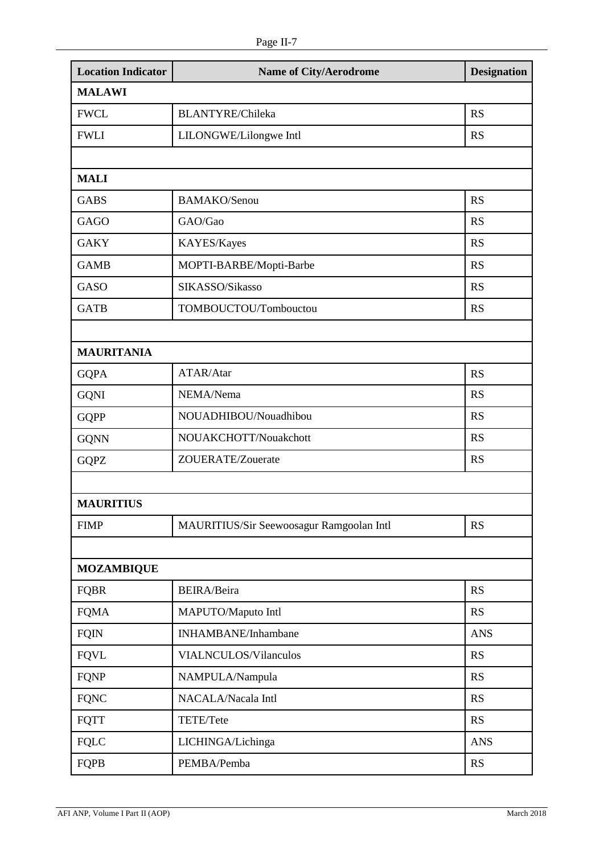| <b>Location Indicator</b> | <b>Name of City/Aerodrome</b>            | <b>Designation</b> |  |
|---------------------------|------------------------------------------|--------------------|--|
| <b>MALAWI</b>             |                                          |                    |  |
| <b>FWCL</b>               | <b>BLANTYRE/Chileka</b>                  | <b>RS</b>          |  |
| <b>FWLI</b>               | LILONGWE/Lilongwe Intl                   | <b>RS</b>          |  |
|                           |                                          |                    |  |
| <b>MALI</b>               |                                          |                    |  |
| <b>GABS</b>               | BAMAKO/Senou                             | <b>RS</b>          |  |
| <b>GAGO</b>               | GAO/Gao                                  | <b>RS</b>          |  |
| <b>GAKY</b>               | KAYES/Kayes                              | <b>RS</b>          |  |
| <b>GAMB</b>               | MOPTI-BARBE/Mopti-Barbe                  | <b>RS</b>          |  |
| <b>GASO</b>               | SIKASSO/Sikasso                          | <b>RS</b>          |  |
| <b>GATB</b>               | TOMBOUCTOU/Tombouctou                    | <b>RS</b>          |  |
|                           |                                          |                    |  |
| <b>MAURITANIA</b>         |                                          |                    |  |
| <b>GQPA</b>               | ATAR/Atar                                | <b>RS</b>          |  |
| <b>GQNI</b>               | NEMA/Nema                                | <b>RS</b>          |  |
| <b>GQPP</b>               | NOUADHIBOU/Nouadhibou                    | <b>RS</b>          |  |
| <b>GQNN</b>               | NOUAKCHOTT/Nouakchott                    | <b>RS</b>          |  |
| <b>GQPZ</b>               | ZOUERATE/Zouerate                        | <b>RS</b>          |  |
|                           |                                          |                    |  |
| <b>MAURITIUS</b>          |                                          |                    |  |
| <b>FIMP</b>               | MAURITIUS/Sir Seewoosagur Ramgoolan Intl | <b>RS</b>          |  |
|                           |                                          |                    |  |
| <b>MOZAMBIQUE</b>         |                                          |                    |  |
| <b>FQBR</b>               | BEIRA/Beira                              | <b>RS</b>          |  |
| <b>FQMA</b>               | MAPUTO/Maputo Intl                       | <b>RS</b>          |  |
| <b>FQIN</b>               | INHAMBANE/Inhambane                      | <b>ANS</b>         |  |
| <b>FQVL</b>               | VIALNCULOS/Vilanculos                    | <b>RS</b>          |  |
| <b>FQNP</b>               | NAMPULA/Nampula                          | <b>RS</b>          |  |
| <b>FQNC</b>               | NACALA/Nacala Intl                       | <b>RS</b>          |  |
| <b>FQTT</b>               | TETE/Tete                                | <b>RS</b>          |  |
| ${\rm FQLC}$              | LICHINGA/Lichinga                        | <b>ANS</b>         |  |
| FQPB                      | PEMBA/Pemba                              | <b>RS</b>          |  |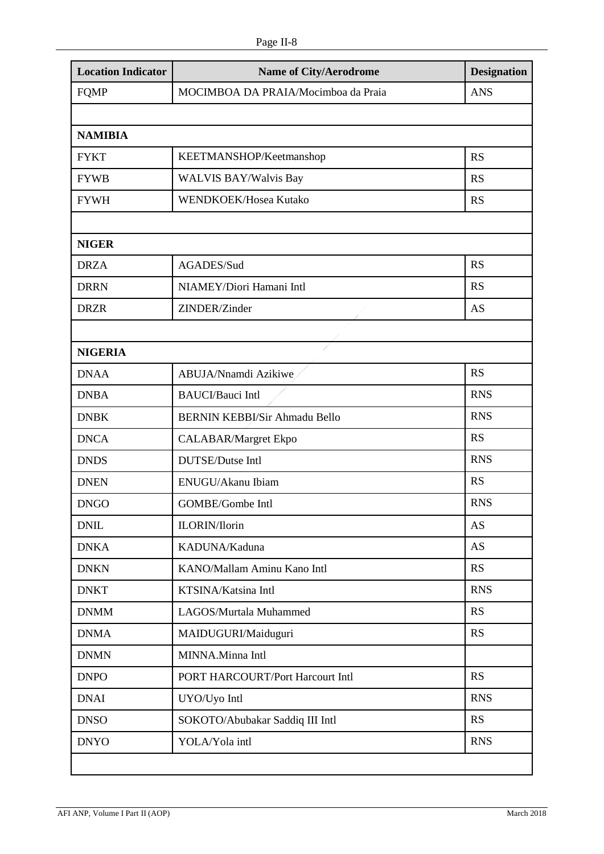| <b>Location Indicator</b> | <b>Name of City/Aerodrome</b>        | <b>Designation</b> |  |
|---------------------------|--------------------------------------|--------------------|--|
| <b>FQMP</b>               | MOCIMBOA DA PRAIA/Mocimboa da Praia  | <b>ANS</b>         |  |
|                           |                                      |                    |  |
| <b>NAMIBIA</b>            |                                      |                    |  |
| <b>FYKT</b>               | KEETMANSHOP/Keetmanshop              | <b>RS</b>          |  |
| <b>FYWB</b>               | <b>WALVIS BAY/Walvis Bay</b>         | <b>RS</b>          |  |
| <b>FYWH</b>               | WENDKOEK/Hosea Kutako                | <b>RS</b>          |  |
|                           |                                      |                    |  |
| <b>NIGER</b>              |                                      |                    |  |
| <b>DRZA</b>               | AGADES/Sud                           | <b>RS</b>          |  |
| <b>DRRN</b>               | NIAMEY/Diori Hamani Intl             | <b>RS</b>          |  |
| <b>DRZR</b>               | ZINDER/Zinder                        | AS                 |  |
|                           |                                      |                    |  |
| <b>NIGERIA</b>            |                                      |                    |  |
| <b>DNAA</b>               | ABUJA/Nnamdi Azikiwe                 | <b>RS</b>          |  |
| <b>DNBA</b>               | <b>BAUCI/Bauci Intl</b>              | <b>RNS</b>         |  |
| <b>DNBK</b>               | <b>BERNIN KEBBI/Sir Ahmadu Bello</b> | <b>RNS</b>         |  |
| <b>DNCA</b>               | <b>CALABAR/Margret Ekpo</b>          | <b>RS</b>          |  |
| <b>DNDS</b>               | DUTSE/Dutse Intl                     | <b>RNS</b>         |  |
| <b>DNEN</b>               | ENUGU/Akanu Ibiam                    | <b>RS</b>          |  |
| <b>DNGO</b>               | GOMBE/Gombe Intl                     | <b>RNS</b>         |  |
| <b>DNIL</b>               | ILORIN/Ilorin                        | <b>AS</b>          |  |
| <b>DNKA</b>               | KADUNA/Kaduna                        | <b>AS</b>          |  |
| <b>DNKN</b>               | KANO/Mallam Aminu Kano Intl          | RS                 |  |
| <b>DNKT</b>               | KTSINA/Katsina Intl                  | <b>RNS</b>         |  |
| <b>DNMM</b>               | LAGOS/Murtala Muhammed               | RS                 |  |
| <b>DNMA</b>               | MAIDUGURI/Maiduguri                  | <b>RS</b>          |  |
| <b>DNMN</b>               | MINNA.Minna Intl                     |                    |  |
| <b>DNPO</b>               | PORT HARCOURT/Port Harcourt Intl     | <b>RS</b>          |  |
| <b>DNAI</b>               | UYO/Uyo Intl                         | <b>RNS</b>         |  |
| <b>DNSO</b>               | SOKOTO/Abubakar Saddiq III Intl      | <b>RS</b>          |  |
| <b>DNYO</b>               | YOLA/Yola intl                       | <b>RNS</b>         |  |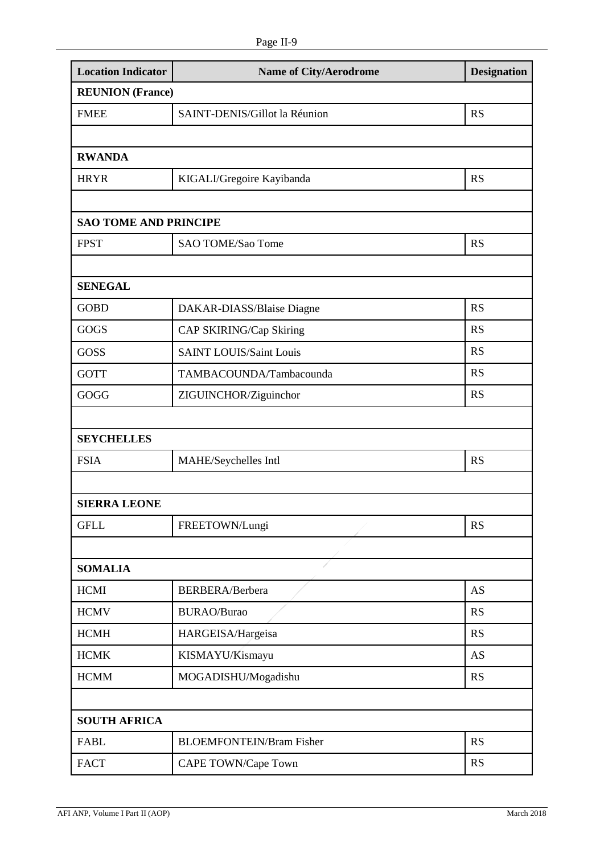| <b>Location Indicator</b>    | Name of City/Aerodrome          | <b>Designation</b> |  |
|------------------------------|---------------------------------|--------------------|--|
| <b>REUNION</b> (France)      |                                 |                    |  |
| <b>FMEE</b>                  | SAINT-DENIS/Gillot la Réunion   | <b>RS</b>          |  |
|                              |                                 |                    |  |
| <b>RWANDA</b>                |                                 |                    |  |
| <b>HRYR</b>                  | KIGALI/Gregoire Kayibanda       | <b>RS</b>          |  |
|                              |                                 |                    |  |
| <b>SAO TOME AND PRINCIPE</b> |                                 |                    |  |
| <b>FPST</b>                  | SAO TOME/Sao Tome               | <b>RS</b>          |  |
|                              |                                 |                    |  |
| <b>SENEGAL</b>               |                                 |                    |  |
| <b>GOBD</b>                  | DAKAR-DIASS/Blaise Diagne       | <b>RS</b>          |  |
| GOGS                         | CAP SKIRING/Cap Skiring         | <b>RS</b>          |  |
| GOSS                         | <b>SAINT LOUIS/Saint Louis</b>  | <b>RS</b>          |  |
| <b>GOTT</b>                  | TAMBACOUNDA/Tambacounda         | <b>RS</b>          |  |
| GOGG                         | ZIGUINCHOR/Ziguinchor           | <b>RS</b>          |  |
|                              |                                 |                    |  |
| <b>SEYCHELLES</b>            |                                 |                    |  |
| <b>FSIA</b>                  | MAHE/Seychelles Intl            | <b>RS</b>          |  |
|                              |                                 |                    |  |
| <b>SIERRA LEONE</b>          |                                 |                    |  |
| <b>GFLL</b>                  | FREETOWN/Lungi                  | <b>RS</b>          |  |
|                              |                                 |                    |  |
| <b>SOMALIA</b>               | 1                               |                    |  |
| <b>HCMI</b>                  | BERBERA/Berbera                 | <b>AS</b>          |  |
| <b>HCMV</b>                  | <b>BURAO/Burao</b>              | <b>RS</b>          |  |
| <b>HCMH</b>                  | HARGEISA/Hargeisa               | <b>RS</b>          |  |
| <b>HCMK</b>                  | KISMAYU/Kismayu                 | AS                 |  |
| <b>HCMM</b>                  | MOGADISHU/Mogadishu             | <b>RS</b>          |  |
|                              |                                 |                    |  |
| <b>SOUTH AFRICA</b>          |                                 |                    |  |
| <b>FABL</b>                  | <b>BLOEMFONTEIN/Bram Fisher</b> | <b>RS</b>          |  |
| <b>FACT</b>                  | CAPE TOWN/Cape Town             | <b>RS</b>          |  |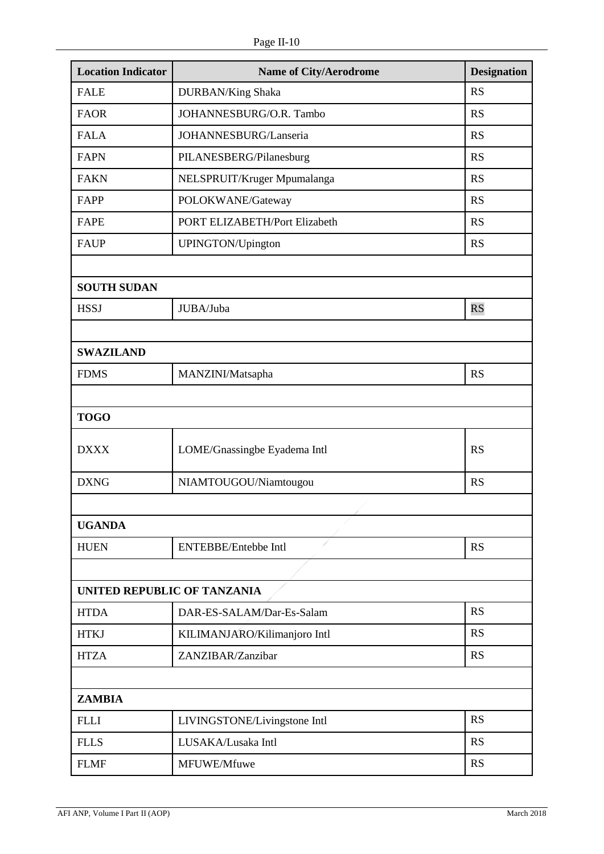| <b>Location Indicator</b>   | <b>Name of City/Aerodrome</b> | <b>Designation</b> |
|-----------------------------|-------------------------------|--------------------|
| <b>FALE</b>                 | <b>DURBAN/King Shaka</b>      | <b>RS</b>          |
| <b>FAOR</b>                 | JOHANNESBURG/O.R. Tambo       | <b>RS</b>          |
| <b>FALA</b>                 | JOHANNESBURG/Lanseria         | <b>RS</b>          |
| <b>FAPN</b>                 | PILANESBERG/Pilanesburg       | <b>RS</b>          |
| <b>FAKN</b>                 | NELSPRUIT/Kruger Mpumalanga   | <b>RS</b>          |
| FAPP                        | POLOKWANE/Gateway             | <b>RS</b>          |
| <b>FAPE</b>                 | PORT ELIZABETH/Port Elizabeth | <b>RS</b>          |
| <b>FAUP</b>                 | UPINGTON/Upington             | <b>RS</b>          |
|                             |                               |                    |
| <b>SOUTH SUDAN</b>          |                               |                    |
| <b>HSSJ</b>                 | JUBA/Juba                     | <b>RS</b>          |
|                             |                               |                    |
| <b>SWAZILAND</b>            |                               |                    |
| <b>FDMS</b>                 | MANZINI/Matsapha              | <b>RS</b>          |
|                             |                               |                    |
| <b>TOGO</b>                 |                               |                    |
| <b>DXXX</b>                 | LOME/Gnassingbe Eyadema Intl  | <b>RS</b>          |
| <b>DXNG</b>                 | NIAMTOUGOU/Niamtougou         | <b>RS</b>          |
|                             |                               |                    |
| <b>UGANDA</b>               |                               |                    |
| <b>HUEN</b>                 | <b>ENTEBBE/Entebbe Intl</b>   | <b>RS</b>          |
|                             |                               |                    |
| UNITED REPUBLIC OF TANZANIA |                               |                    |
| <b>HTDA</b>                 | DAR-ES-SALAM/Dar-Es-Salam     | <b>RS</b>          |
| <b>HTKJ</b>                 | KILIMANJARO/Kilimanjoro Intl  | <b>RS</b>          |
| <b>HTZA</b>                 | ZANZIBAR/Zanzibar             | <b>RS</b>          |
|                             |                               |                    |
| <b>ZAMBIA</b>               |                               |                    |
| <b>FLLI</b>                 | LIVINGSTONE/Livingstone Intl  | <b>RS</b>          |
| <b>FLLS</b>                 | LUSAKA/Lusaka Intl            | <b>RS</b>          |
| <b>FLMF</b>                 | MFUWE/Mfuwe                   | <b>RS</b>          |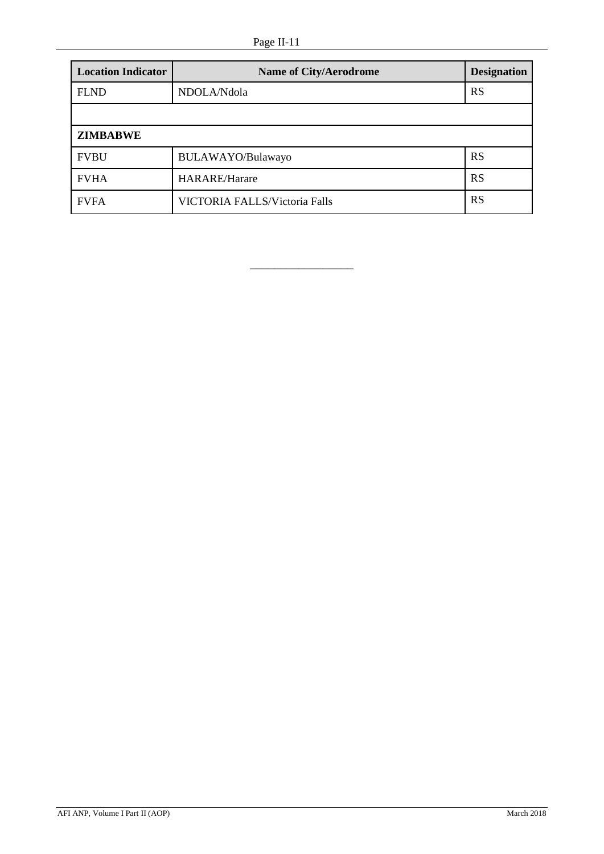# Page II-11

| <b>Location Indicator</b> | <b>Name of City/Aerodrome</b> | <b>Designation</b> |
|---------------------------|-------------------------------|--------------------|
| <b>FLND</b>               | NDOLA/Ndola                   | <b>RS</b>          |
|                           |                               |                    |
| <b>ZIMBABWE</b>           |                               |                    |
| <b>FVBU</b>               | BULAWAYO/Bulawayo             | <b>RS</b>          |
| <b>FVHA</b>               | <b>HARARE/Harare</b>          | <b>RS</b>          |
| <b>FVFA</b>               | VICTORIA FALLS/Victoria Falls | RS                 |

\_\_\_\_\_\_\_\_\_\_\_\_\_\_\_\_\_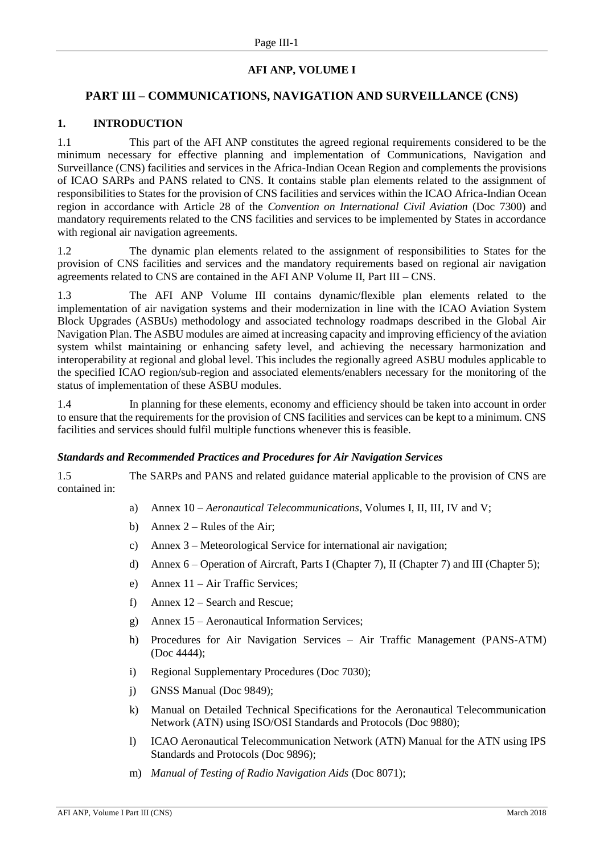# **AFI ANP, VOLUME I**

# <span id="page-28-0"></span>**PART III – COMMUNICATIONS, NAVIGATION AND SURVEILLANCE (CNS)**

### **1. INTRODUCTION**

1.1 This part of the AFI ANP constitutes the agreed regional requirements considered to be the minimum necessary for effective planning and implementation of Communications, Navigation and Surveillance (CNS) facilities and services in the Africa-Indian Ocean Region and complements the provisions of ICAO SARPs and PANS related to CNS. It contains stable plan elements related to the assignment of responsibilities to States for the provision of CNS facilities and services within the ICAO Africa-Indian Ocean region in accordance with Article 28 of the *Convention on International Civil Aviation* (Doc 7300) and mandatory requirements related to the CNS facilities and services to be implemented by States in accordance with regional air navigation agreements.

1.2 The dynamic plan elements related to the assignment of responsibilities to States for the provision of CNS facilities and services and the mandatory requirements based on regional air navigation agreements related to CNS are contained in the AFI ANP Volume II, Part III – CNS.

1.3 The AFI ANP Volume III contains dynamic/flexible plan elements related to the implementation of air navigation systems and their modernization in line with the ICAO Aviation System Block Upgrades (ASBUs) methodology and associated technology roadmaps described in the Global Air Navigation Plan. The ASBU modules are aimed at increasing capacity and improving efficiency of the aviation system whilst maintaining or enhancing safety level, and achieving the necessary harmonization and interoperability at regional and global level. This includes the regionally agreed ASBU modules applicable to the specified ICAO region/sub-region and associated elements/enablers necessary for the monitoring of the status of implementation of these ASBU modules.

1.4 In planning for these elements, economy and efficiency should be taken into account in order to ensure that the requirements for the provision of CNS facilities and services can be kept to a minimum. CNS facilities and services should fulfil multiple functions whenever this is feasible.

#### *Standards and Recommended Practices and Procedures for Air Navigation Services*

1.5 The SARPs and PANS and related guidance material applicable to the provision of CNS are contained in:

- a) Annex 10 *Aeronautical Telecommunications*, Volumes I, II, III, IV and V;
- b) Annex  $2 -$  Rules of the Air:
- c) Annex 3 Meteorological Service for international air navigation;
- d) Annex 6 Operation of Aircraft, Parts I (Chapter 7), II (Chapter 7) and III (Chapter 5);
- e) Annex 11 Air Traffic Services;
- f) Annex 12 Search and Rescue;
- g) Annex 15 Aeronautical Information Services;
- h) Procedures for Air Navigation Services Air Traffic Management (PANS-ATM) (Doc 4444);
- i) Regional Supplementary Procedures (Doc 7030);
- j) GNSS Manual (Doc 9849);
- k) Manual on Detailed Technical Specifications for the Aeronautical Telecommunication Network (ATN) using ISO/OSI Standards and Protocols (Doc 9880);
- l) ICAO Aeronautical Telecommunication Network (ATN) Manual for the ATN using IPS Standards and Protocols (Doc 9896);
- m) *Manual of Testing of Radio Navigation Aids* (Doc 8071);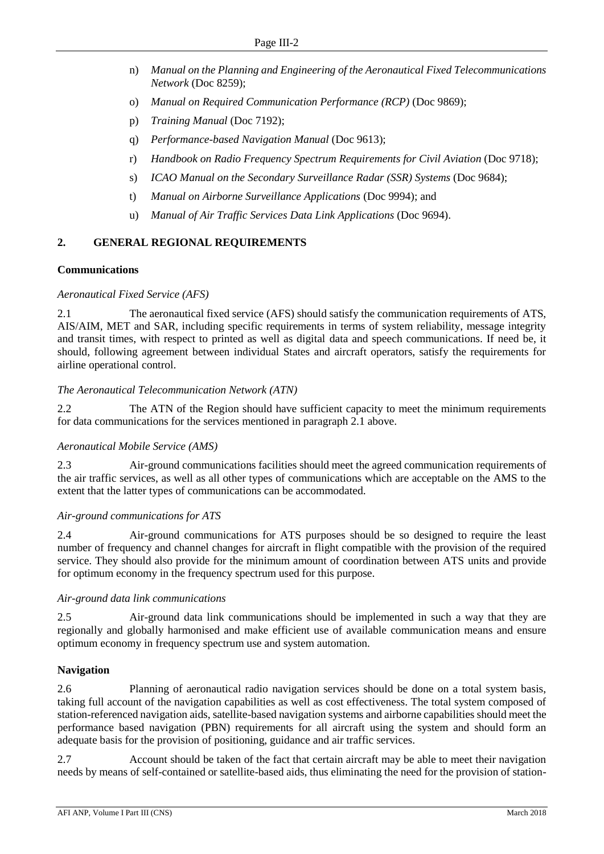- n) *Manual on the Planning and Engineering of the Aeronautical Fixed Telecommunications Network* (Doc 8259);
- o) *Manual on Required Communication Performance (RCP)* (Doc 9869);
- p) *Training Manual* (Doc 7192);
- q) *Performance-based Navigation Manual* (Doc 9613);
- r) *Handbook on Radio Frequency Spectrum Requirements for Civil Aviation* (Doc 9718);
- s) *ICAO Manual on the Secondary Surveillance Radar (SSR) Systems* (Doc 9684);
- t) *Manual on Airborne Surveillance Applications* (Doc 9994); and
- u) *Manual of Air Traffic Services Data Link Applications* (Doc 9694).

#### <span id="page-29-0"></span>**2. GENERAL REGIONAL REQUIREMENTS**

#### **Communications**

#### *Aeronautical Fixed Service (AFS)*

2.1 The aeronautical fixed service (AFS) should satisfy the communication requirements of ATS, AIS/AIM, MET and SAR, including specific requirements in terms of system reliability, message integrity and transit times, with respect to printed as well as digital data and speech communications. If need be, it should, following agreement between individual States and aircraft operators, satisfy the requirements for airline operational control.

#### *The Aeronautical Telecommunication Network (ATN)*

2.2 The ATN of the Region should have sufficient capacity to meet the minimum requirements for data communications for the services mentioned in paragraph 2.1 above.

#### *Aeronautical Mobile Service (AMS)*

2.3 Air-ground communications facilities should meet the agreed communication requirements of the air traffic services, as well as all other types of communications which are acceptable on the AMS to the extent that the latter types of communications can be accommodated.

#### *Air-ground communications for ATS*

2.4 Air-ground communications for ATS purposes should be so designed to require the least number of frequency and channel changes for aircraft in flight compatible with the provision of the required service. They should also provide for the minimum amount of coordination between ATS units and provide for optimum economy in the frequency spectrum used for this purpose.

#### *Air-ground data link communications*

2.5 Air-ground data link communications should be implemented in such a way that they are regionally and globally harmonised and make efficient use of available communication means and ensure optimum economy in frequency spectrum use and system automation.

#### **Navigation**

2.6 Planning of aeronautical radio navigation services should be done on a total system basis, taking full account of the navigation capabilities as well as cost effectiveness. The total system composed of station-referenced navigation aids, satellite-based navigation systems and airborne capabilities should meet the performance based navigation (PBN) requirements for all aircraft using the system and should form an adequate basis for the provision of positioning, guidance and air traffic services.

2.7 Account should be taken of the fact that certain aircraft may be able to meet their navigation needs by means of self-contained or satellite-based aids, thus eliminating the need for the provision of station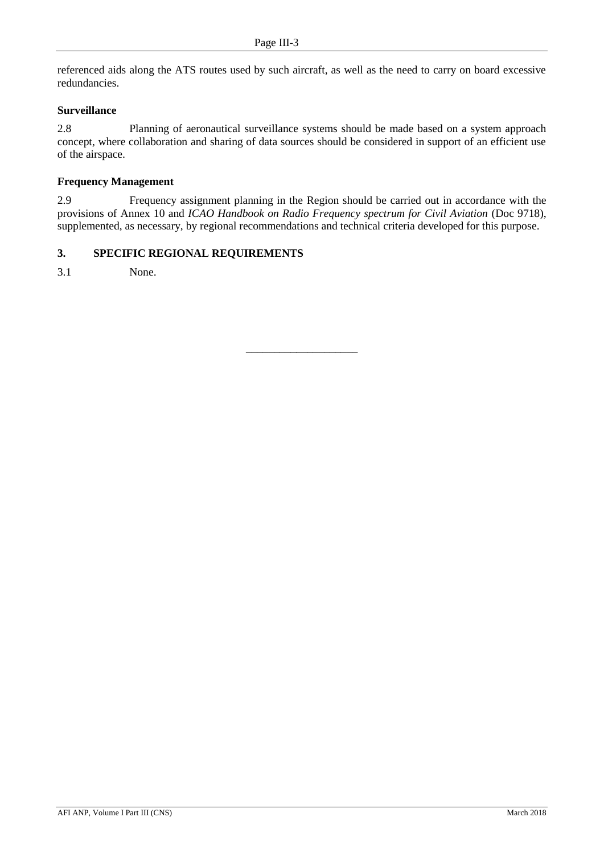referenced aids along the ATS routes used by such aircraft, as well as the need to carry on board excessive redundancies.

# **Surveillance**

2.8 Planning of aeronautical surveillance systems should be made based on a system approach concept, where collaboration and sharing of data sources should be considered in support of an efficient use of the airspace.

#### **Frequency Management**

2.9 Frequency assignment planning in the Region should be carried out in accordance with the provisions of Annex 10 and *ICAO Handbook on Radio Frequency spectrum for Civil Aviation* (Doc 9718), supplemented, as necessary, by regional recommendations and technical criteria developed for this purpose.

### <span id="page-30-0"></span>**3. SPECIFIC REGIONAL REQUIREMENTS**

3.1 None.

\_\_\_\_\_\_\_\_\_\_\_\_\_\_\_\_\_\_\_\_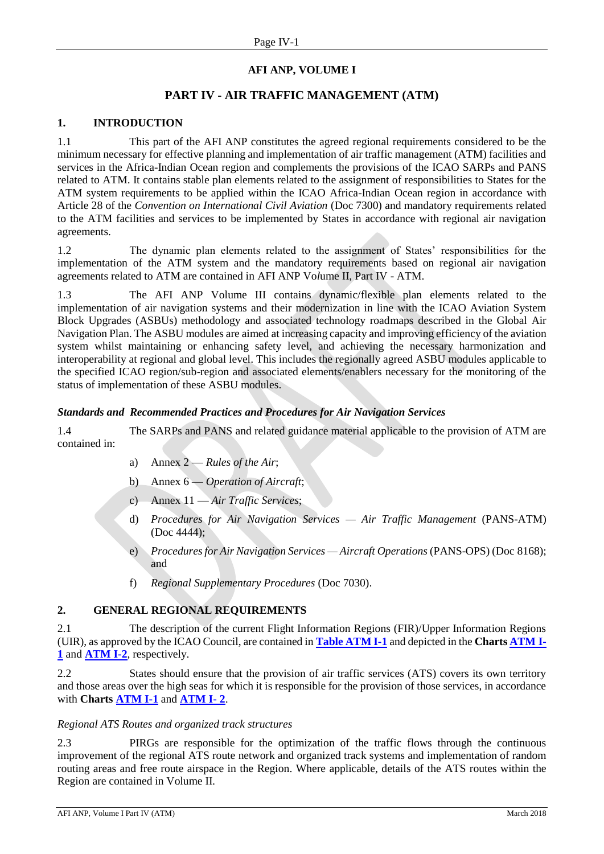# **AFI ANP, VOLUME I**

# **PART IV - AIR TRAFFIC MANAGEMENT (ATM)**

# <span id="page-31-0"></span>**1. INTRODUCTION**

1.1 This part of the AFI ANP constitutes the agreed regional requirements considered to be the minimum necessary for effective planning and implementation of air traffic management (ATM) facilities and services in the Africa-Indian Ocean region and complements the provisions of the ICAO SARPs and PANS related to ATM. It contains stable plan elements related to the assignment of responsibilities to States for the ATM system requirements to be applied within the ICAO Africa-Indian Ocean region in accordance with Article 28 of the *Convention on International Civil Aviation* (Doc 7300) and mandatory requirements related to the ATM facilities and services to be implemented by States in accordance with regional air navigation agreements.

1.2 The dynamic plan elements related to the assignment of States' responsibilities for the implementation of the ATM system and the mandatory requirements based on regional air navigation agreements related to ATM are contained in AFI ANP Vo*l*ume II, Part IV - ATM.

1.3 The AFI ANP Volume III contains dynamic/flexible plan elements related to the implementation of air navigation systems and their modernization in line with the ICAO Aviation System Block Upgrades (ASBUs) methodology and associated technology roadmaps described in the Global Air Navigation Plan. The ASBU modules are aimed at increasing capacity and improving efficiency of the aviation system whilst maintaining or enhancing safety level, and achieving the necessary harmonization and interoperability at regional and global level. This includes the regionally agreed ASBU modules applicable to the specified ICAO region/sub-region and associated elements/enablers necessary for the monitoring of the status of implementation of these ASBU modules.

#### *Standards and Recommended Practices and Procedures for Air Navigation Services*

1.4 The SARPs and PANS and related guidance material applicable to the provision of ATM are contained in:

- a) Annex 2 *Rules of the Air*;
- b) Annex 6 *Operation of Aircraft*;
- c) Annex 11 *Air Traffic Services*;
- d) *Procedures for Air Navigation Services — Air Traffic Management* (PANS-ATM) (Doc 4444);
- e) *Procedures for Air Navigation Services — Aircraft Operations* (PANS-OPS) (Doc 8168); and
- f) *Regional Supplementary Procedures* (Doc 7030).

# <span id="page-31-1"></span>**2. GENERAL REGIONAL REQUIREMENTS**

2.1 The description of the current Flight Information Regions (FIR)/Upper Information Regions (UIR), as approved by the ICAO Council, are contained in **[Table ATM I-1](#page-33-0)** and depicted in the **Chart[s ATM](#page-36-0) I-[1](#page-36-0)** and **[ATM I-2](#page-37-0)**, respectively.

2.2 States should ensure that the provision of air traffic services (ATS) covers its own territory and those areas over the high seas for which it is responsible for the provision of those services, in accordance with **Charts [ATM I-1](#page-36-0)** and **[ATM I-](#page-37-0) 2**.

#### *Regional ATS Routes and organized track structures*

2.3 PIRGs are responsible for the optimization of the traffic flows through the continuous improvement of the regional ATS route network and organized track systems and implementation of random routing areas and free route airspace in the Region. Where applicable, details of the ATS routes within the Region are contained in Volume II.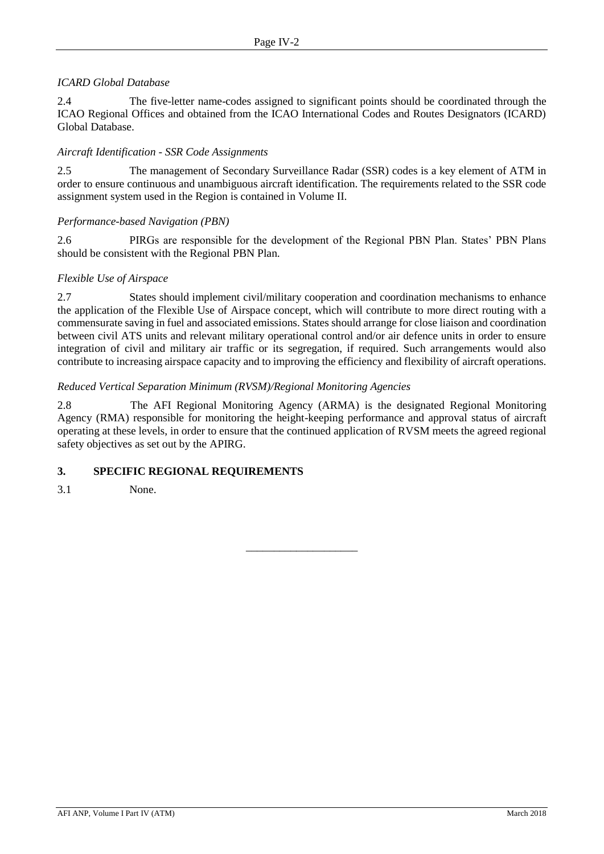# *ICARD Global Database*

2.4 The five-letter name-codes assigned to significant points should be coordinated through the ICAO Regional Offices and obtained from the ICAO International Codes and Routes Designators (ICARD) Global Database.

#### *Aircraft Identification - SSR Code Assignments*

2.5 The management of Secondary Surveillance Radar (SSR) codes is a key element of ATM in order to ensure continuous and unambiguous aircraft identification. The requirements related to the SSR code assignment system used in the Region is contained in Volume II.

#### *Performance-based Navigation (PBN)*

2.6 PIRGs are responsible for the development of the Regional PBN Plan. States' PBN Plans should be consistent with the Regional PBN Plan.

#### *Flexible Use of Airspace*

2.7 States should implement civil/military cooperation and coordination mechanisms to enhance the application of the Flexible Use of Airspace concept, which will contribute to more direct routing with a commensurate saving in fuel and associated emissions. States should arrange for close liaison and coordination between civil ATS units and relevant military operational control and/or air defence units in order to ensure integration of civil and military air traffic or its segregation, if required. Such arrangements would also contribute to increasing airspace capacity and to improving the efficiency and flexibility of aircraft operations.

#### *Reduced Vertical Separation Minimum (RVSM)/Regional Monitoring Agencies*

2.8 The AFI Regional Monitoring Agency (ARMA) is the designated Regional Monitoring Agency (RMA) responsible for monitoring the height-keeping performance and approval status of aircraft operating at these levels, in order to ensure that the continued application of RVSM meets the agreed regional safety objectives as set out by the APIRG.

\_\_\_\_\_\_\_\_\_\_\_\_\_\_\_\_\_\_\_\_

# <span id="page-32-0"></span>**3. SPECIFIC REGIONAL REQUIREMENTS**

3.1 None.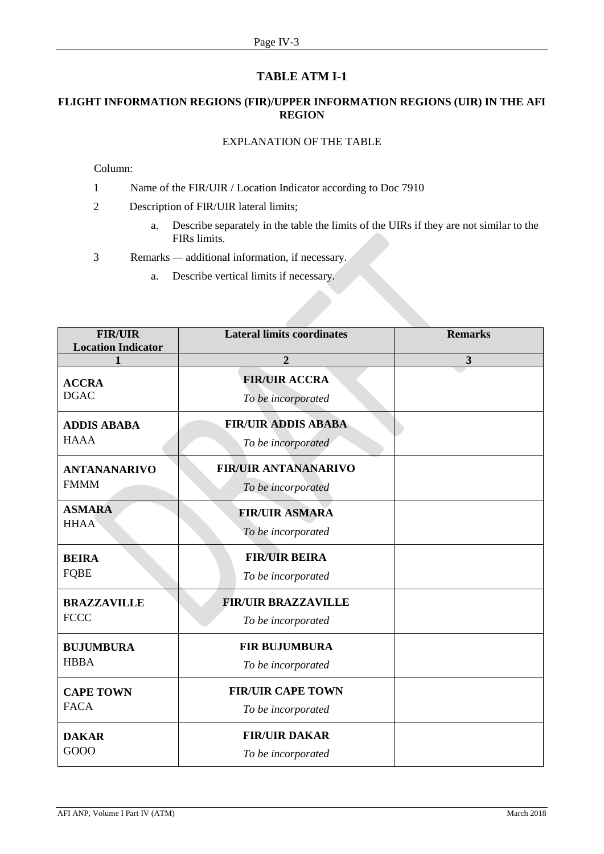# **TABLE ATM I-1**

# <span id="page-33-0"></span>**FLIGHT INFORMATION REGIONS (FIR)/UPPER INFORMATION REGIONS (UIR) IN THE AFI REGION**

# EXPLANATION OF THE TABLE

Column:

- 1 Name of the FIR/UIR / Location Indicator according to Doc 7910
- 2 Description of FIR/UIR lateral limits;
	- a. Describe separately in the table the limits of the UIRs if they are not similar to the FIRs limits.
- 3 Remarks *—* additional information, if necessary.
	- a. Describe vertical limits if necessary.

| <b>FIR/UIR</b><br><b>Location Indicator</b> | <b>Lateral limits coordinates</b>                 | <b>Remarks</b> |
|---------------------------------------------|---------------------------------------------------|----------------|
| 1                                           | $\overline{2}$                                    | 3              |
| <b>ACCRA</b><br><b>DGAC</b>                 | <b>FIR/UIR ACCRA</b><br>To be incorporated        |                |
| <b>ADDIS ABABA</b><br><b>HAAA</b>           | <b>FIR/UIR ADDIS ABABA</b><br>To be incorporated  |                |
| <b>ANTANANARIVO</b><br><b>FMMM</b>          | <b>FIR/UIR ANTANANARIVO</b><br>To be incorporated |                |
| <b>ASMARA</b><br><b>HHAA</b>                | <b>FIR/UIR ASMARA</b><br>To be incorporated       |                |
| <b>BEIRA</b><br><b>FQBE</b>                 | <b>FIR/UIR BEIRA</b><br>To be incorporated        |                |
| <b>BRAZZAVILLE</b><br><b>FCCC</b>           | <b>FIR/UIR BRAZZAVILLE</b><br>To be incorporated  |                |
| <b>BUJUMBURA</b><br><b>HBBA</b>             | <b>FIR BUJUMBURA</b><br>To be incorporated        |                |
| <b>CAPE TOWN</b><br><b>FACA</b>             | <b>FIR/UIR CAPE TOWN</b><br>To be incorporated    |                |
| <b>DAKAR</b><br>GO <sub>O</sub> O           | <b>FIR/UIR DAKAR</b><br>To be incorporated        |                |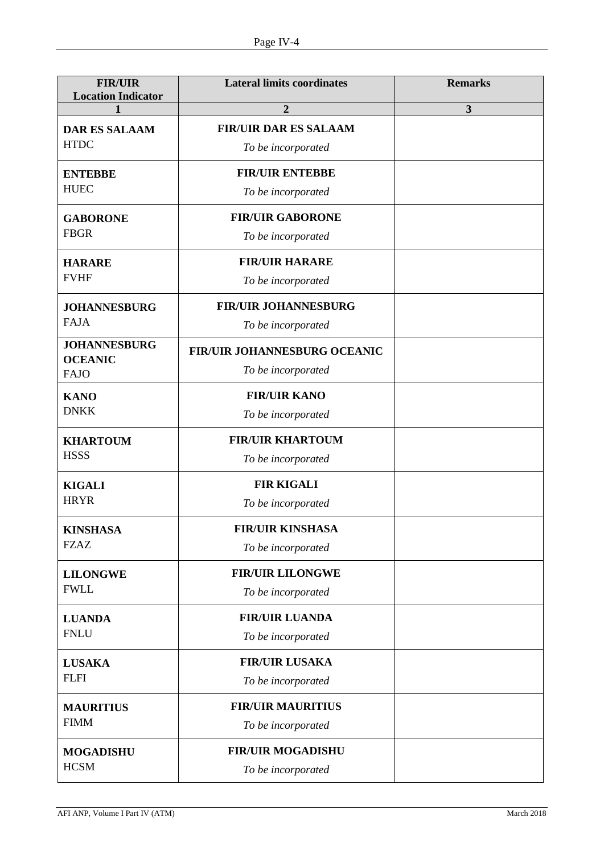| <b>FIR/UIR</b><br><b>Location Indicator</b> | <b>Lateral limits coordinates</b> | <b>Remarks</b> |
|---------------------------------------------|-----------------------------------|----------------|
| 1                                           | 2                                 | 3              |
| <b>DAR ES SALAAM</b>                        | <b>FIR/UIR DAR ES SALAAM</b>      |                |
| <b>HTDC</b>                                 | To be incorporated                |                |
| <b>ENTEBBE</b>                              | <b>FIR/UIR ENTEBBE</b>            |                |
| <b>HUEC</b>                                 | To be incorporated                |                |
| <b>GABORONE</b>                             | <b>FIR/UIR GABORONE</b>           |                |
| <b>FBGR</b>                                 | To be incorporated                |                |
| <b>HARARE</b>                               | <b>FIR/UIR HARARE</b>             |                |
| <b>FVHF</b>                                 | To be incorporated                |                |
| <b>JOHANNESBURG</b>                         | <b>FIR/UIR JOHANNESBURG</b>       |                |
| <b>FAJA</b>                                 | To be incorporated                |                |
| <b>JOHANNESBURG</b><br><b>OCEANIC</b>       | FIR/UIR JOHANNESBURG OCEANIC      |                |
| <b>FAJO</b>                                 | To be incorporated                |                |
| <b>KANO</b>                                 | <b>FIR/UIR KANO</b>               |                |
| <b>DNKK</b>                                 | To be incorporated                |                |
| <b>KHARTOUM</b>                             | <b>FIR/UIR KHARTOUM</b>           |                |
| <b>HSSS</b>                                 | To be incorporated                |                |
| <b>KIGALI</b>                               | <b>FIR KIGALI</b>                 |                |
| <b>HRYR</b>                                 | To be incorporated                |                |
| <b>KINSHASA</b>                             | <b>FIR/UIR KINSHASA</b>           |                |
| <b>FZAZ</b>                                 | To be incorporated                |                |
| <b>LILONGWE</b>                             | <b>FIR/UIR LILONGWE</b>           |                |
| <b>FWLL</b>                                 | To be incorporated                |                |
| <b>LUANDA</b>                               | <b>FIR/UIR LUANDA</b>             |                |
| <b>FNLU</b>                                 | To be incorporated                |                |
| <b>LUSAKA</b><br><b>FLFI</b>                | <b>FIR/UIR LUSAKA</b>             |                |
|                                             | To be incorporated                |                |
| <b>MAURITIUS</b>                            | <b>FIR/UIR MAURITIUS</b>          |                |
| <b>FIMM</b>                                 | To be incorporated                |                |
| <b>MOGADISHU</b>                            | <b>FIR/UIR MOGADISHU</b>          |                |
| <b>HCSM</b>                                 | To be incorporated                |                |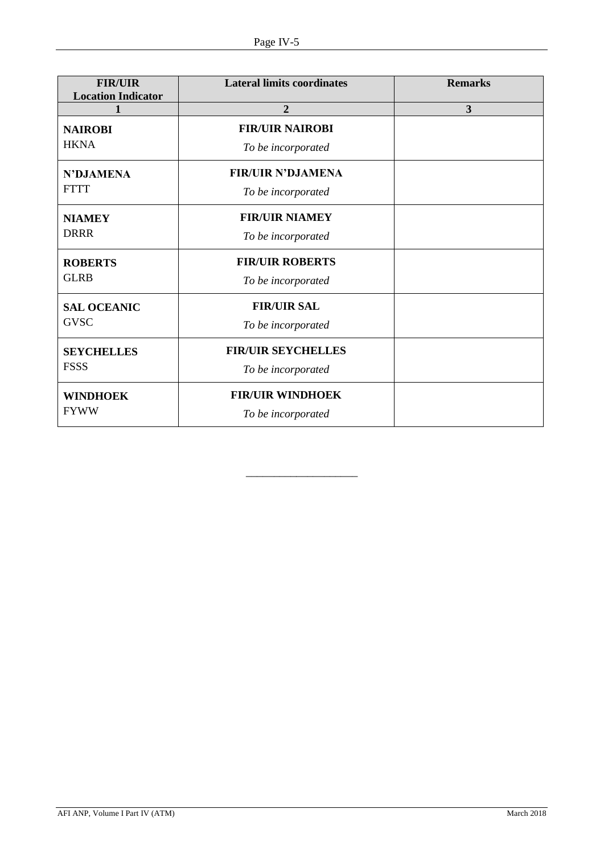| <b>FIR/UIR</b><br><b>Location Indicator</b> | <b>Lateral limits coordinates</b>               | <b>Remarks</b> |
|---------------------------------------------|-------------------------------------------------|----------------|
|                                             | $\overline{2}$                                  | 3              |
| <b>NAIROBI</b><br><b>HKNA</b>               | <b>FIR/UIR NAIROBI</b><br>To be incorporated    |                |
| <b>N'DJAMENA</b><br><b>FTTT</b>             | <b>FIR/UIR N'DJAMENA</b><br>To be incorporated  |                |
| <b>NIAMEY</b><br><b>DRRR</b>                | <b>FIR/UIR NIAMEY</b><br>To be incorporated     |                |
| <b>ROBERTS</b><br><b>GLRB</b>               | <b>FIR/UIR ROBERTS</b><br>To be incorporated    |                |
| <b>SAL OCEANIC</b><br><b>GVSC</b>           | <b>FIR/UIR SAL</b><br>To be incorporated        |                |
| <b>SEYCHELLES</b><br><b>FSSS</b>            | <b>FIR/UIR SEYCHELLES</b><br>To be incorporated |                |
| <b>WINDHOEK</b><br><b>FYWW</b>              | <b>FIR/UIR WINDHOEK</b><br>To be incorporated   |                |

\_\_\_\_\_\_\_\_\_\_\_\_\_\_\_\_\_\_\_\_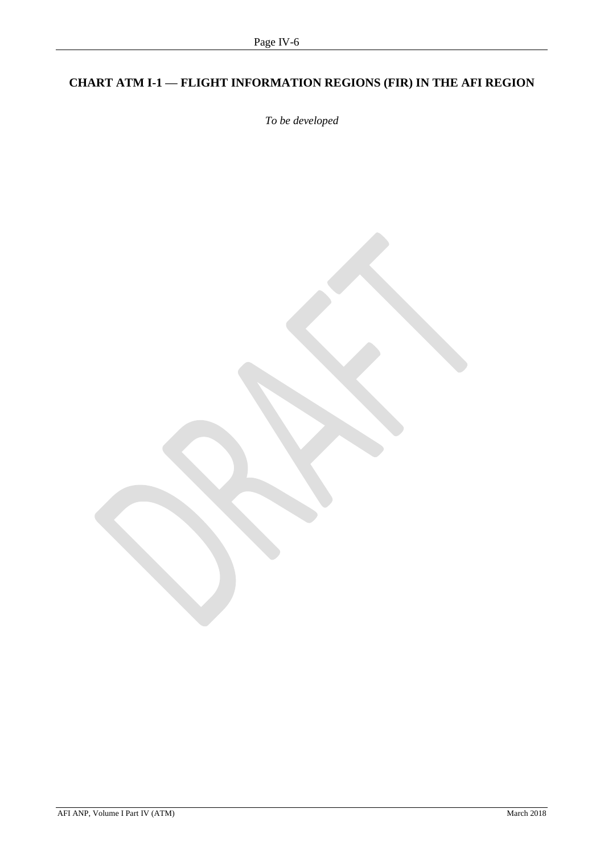# <span id="page-36-1"></span><span id="page-36-0"></span>**CHART ATM I-1 — FLIGHT INFORMATION REGIONS (FIR) IN THE AFI REGION**

*To be developed*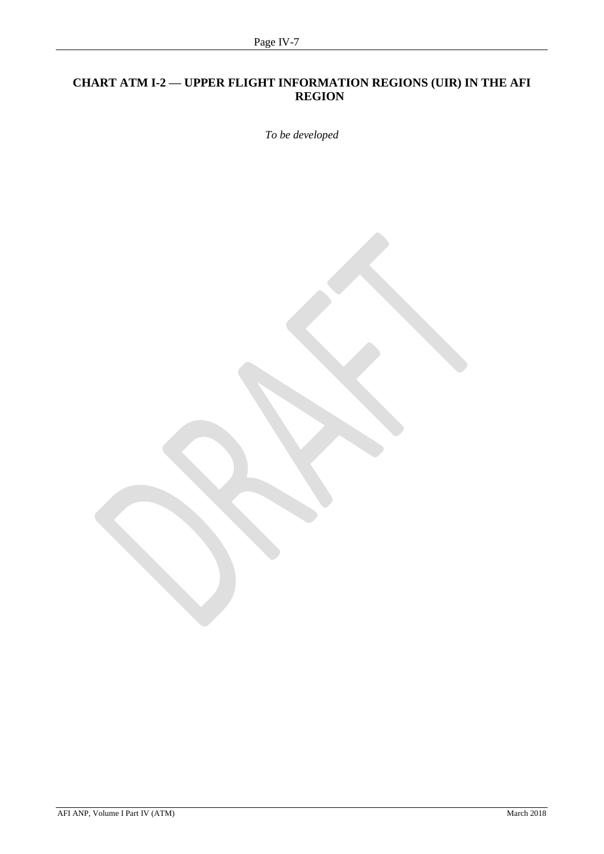# <span id="page-37-1"></span><span id="page-37-0"></span>**CHART ATM I-2 — UPPER FLIGHT INFORMATION REGIONS (UIR) IN THE AFI REGION**

*To be developed*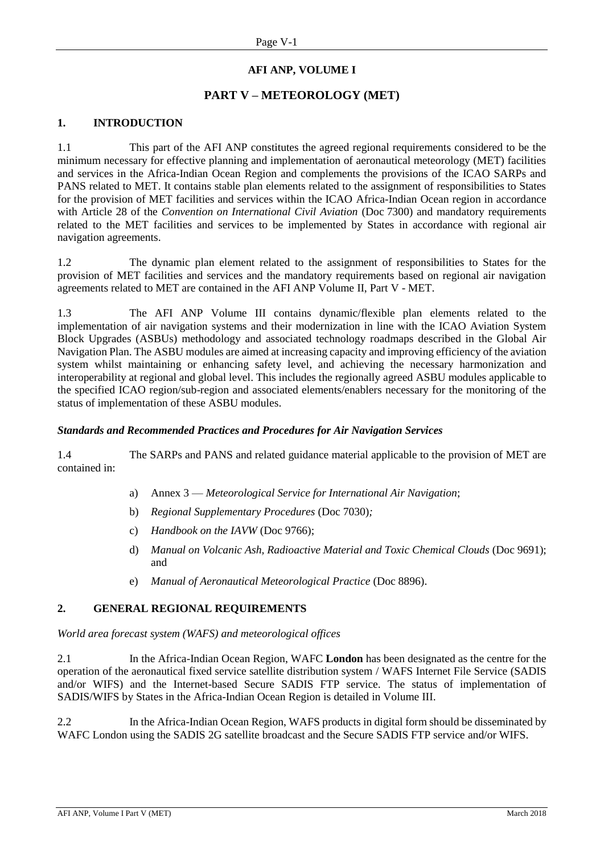# **AFI ANP, VOLUME I**

# **PART V – METEOROLOGY (MET)**

#### <span id="page-38-0"></span>**1. INTRODUCTION**

1.1 This part of the AFI ANP constitutes the agreed regional requirements considered to be the minimum necessary for effective planning and implementation of aeronautical meteorology (MET) facilities and services in the Africa-Indian Ocean Region and complements the provisions of the ICAO SARPs and PANS related to MET. It contains stable plan elements related to the assignment of responsibilities to States for the provision of MET facilities and services within the ICAO Africa-Indian Ocean region in accordance with Article 28 of the *Convention on International Civil Aviation* (Doc 7300) and mandatory requirements related to the MET facilities and services to be implemented by States in accordance with regional air navigation agreements.

1.2 The dynamic plan element related to the assignment of responsibilities to States for the provision of MET facilities and services and the mandatory requirements based on regional air navigation agreements related to MET are contained in the AFI ANP Volume II, Part V - MET.

1.3 The AFI ANP Volume III contains dynamic/flexible plan elements related to the implementation of air navigation systems and their modernization in line with the ICAO Aviation System Block Upgrades (ASBUs) methodology and associated technology roadmaps described in the Global Air Navigation Plan. The ASBU modules are aimed at increasing capacity and improving efficiency of the aviation system whilst maintaining or enhancing safety level, and achieving the necessary harmonization and interoperability at regional and global level. This includes the regionally agreed ASBU modules applicable to the specified ICAO region/sub-region and associated elements/enablers necessary for the monitoring of the status of implementation of these ASBU modules.

#### *Standards and Recommended Practices and Procedures for Air Navigation Services*

1.4 The SARPs and PANS and related guidance material applicable to the provision of MET are contained in:

- a) Annex 3 *Meteorological Service for International Air Navigation*;
- b) *Regional Supplementary Procedures* (Doc 7030)*;*
- c) *Handbook on the IAVW* (Doc 9766);
- d) *Manual on Volcanic Ash, Radioactive Material and Toxic Chemical Clouds* (Doc 9691); and
- e) *Manual of Aeronautical Meteorological Practice* (Doc 8896).

# <span id="page-38-1"></span>**2. GENERAL REGIONAL REQUIREMENTS**

*World area forecast system (WAFS) and meteorological offices*

2.1 In the Africa-Indian Ocean Region, WAFC **London** has been designated as the centre for the operation of the aeronautical fixed service satellite distribution system / WAFS Internet File Service (SADIS and/or WIFS) and the Internet-based Secure SADIS FTP service. The status of implementation of SADIS/WIFS by States in the Africa-Indian Ocean Region is detailed in Volume III.

2.2 In the Africa-Indian Ocean Region, WAFS products in digital form should be disseminated by WAFC London using the SADIS 2G satellite broadcast and the Secure SADIS FTP service and/or WIFS.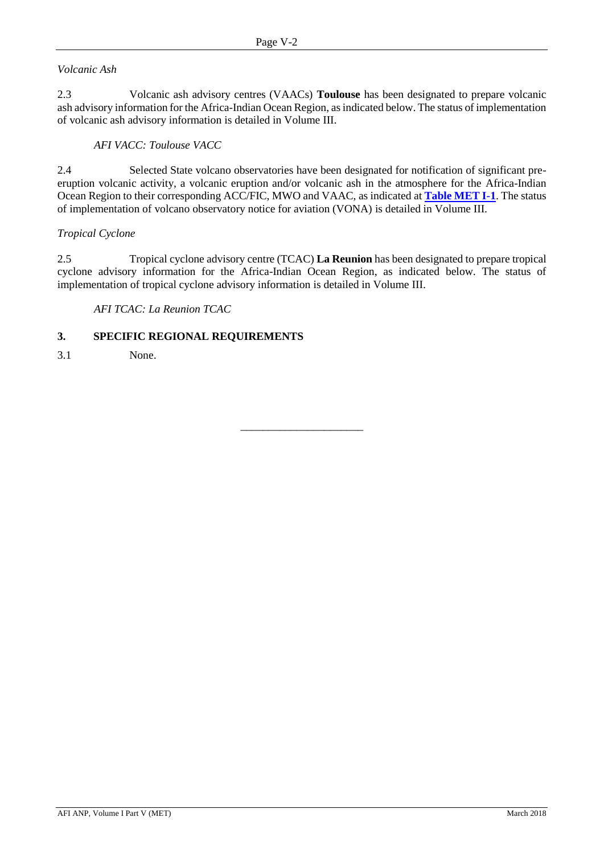# *Volcanic Ash*

2.3 Volcanic ash advisory centres (VAACs) **Toulouse** has been designated to prepare volcanic ash advisory information for the Africa-Indian Ocean Region, as indicated below. The status of implementation of volcanic ash advisory information is detailed in Volume III.

### *AFI VACC: Toulouse VACC*

2.4 Selected State volcano observatories have been designated for notification of significant preeruption volcanic activity, a volcanic eruption and/or volcanic ash in the atmosphere for the Africa-Indian Ocean Region to their corresponding ACC/FIC, MWO and VAAC, as indicated at **[Table MET I-1](#page-40-0)**. The status of implementation of volcano observatory notice for aviation (VONA) is detailed in Volume III.

#### *Tropical Cyclone*

2.5 Tropical cyclone advisory centre (TCAC) **La Reunion** has been designated to prepare tropical cyclone advisory information for the Africa-Indian Ocean Region, as indicated below. The status of implementation of tropical cyclone advisory information is detailed in Volume III.

\_\_\_\_\_\_\_\_\_\_\_\_\_\_\_\_\_\_\_\_\_\_

# <span id="page-39-0"></span>*AFI TCAC: La Reunion TCAC*

# **3. SPECIFIC REGIONAL REQUIREMENTS**

3.1 None.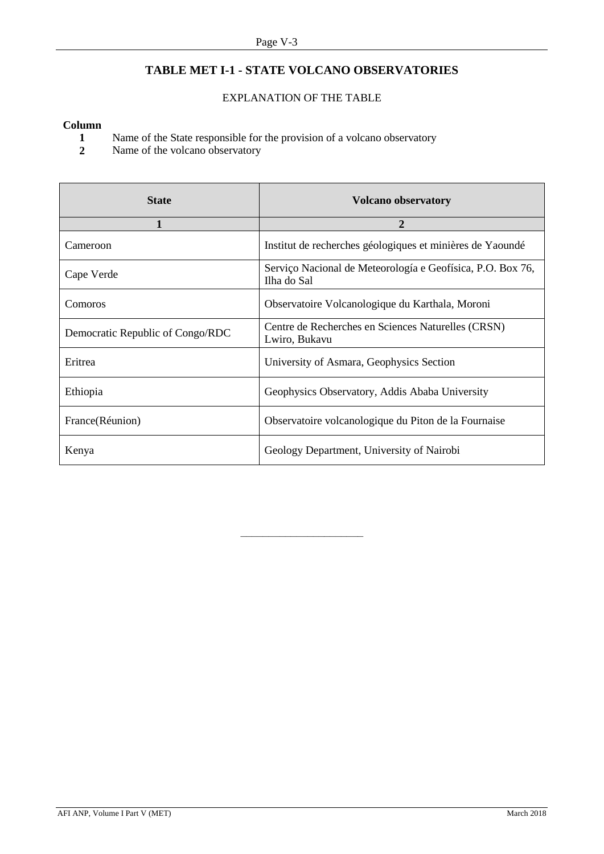# **TABLE MET I-1 - STATE VOLCANO OBSERVATORIES**

# EXPLANATION OF THE TABLE

#### <span id="page-40-0"></span>**Column**

- **1** Name of the State responsible for the provision of a volcano observatory<br>**2** Name of the volcano observatory
- Name of the volcano observatory

| <b>State</b>                     | <b>Volcano observatory</b>                                                |  |
|----------------------------------|---------------------------------------------------------------------------|--|
|                                  | 2                                                                         |  |
| Cameroon                         | Institut de recherches géologiques et minières de Yaoundé                 |  |
| Cape Verde                       | Serviço Nacional de Meteorología e Geofísica, P.O. Box 76,<br>Ilha do Sal |  |
| Comoros                          | Observatoire Volcanologique du Karthala, Moroni                           |  |
| Democratic Republic of Congo/RDC | Centre de Recherches en Sciences Naturelles (CRSN)<br>Lwiro, Bukavu       |  |
| Eritrea                          | University of Asmara, Geophysics Section                                  |  |
| Ethiopia                         | Geophysics Observatory, Addis Ababa University                            |  |
| France(Réunion)                  | Observatoire volcanologique du Piton de la Fournaise                      |  |
| Kenya                            | Geology Department, University of Nairobi                                 |  |

––––––––––––––––––––––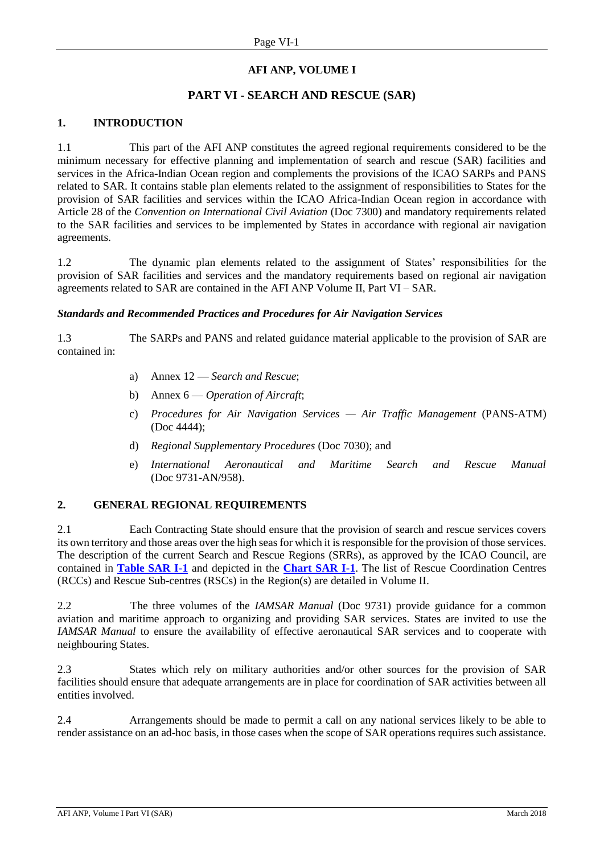# **AFI ANP, VOLUME I**

# **PART VI - SEARCH AND RESCUE (SAR)**

# <span id="page-41-0"></span>**1. INTRODUCTION**

1.1 This part of the AFI ANP constitutes the agreed regional requirements considered to be the minimum necessary for effective planning and implementation of search and rescue (SAR) facilities and services in the Africa-Indian Ocean region and complements the provisions of the ICAO SARPs and PANS related to SAR. It contains stable plan elements related to the assignment of responsibilities to States for the provision of SAR facilities and services within the ICAO Africa-Indian Ocean region in accordance with Article 28 of the *Convention on International Civil Aviation* (Doc 7300) and mandatory requirements related to the SAR facilities and services to be implemented by States in accordance with regional air navigation agreements.

1.2 The dynamic plan elements related to the assignment of States' responsibilities for the provision of SAR facilities and services and the mandatory requirements based on regional air navigation agreements related to SAR are contained in the AFI ANP Volume II, Part VI – SAR.

#### *Standards and Recommended Practices and Procedures for Air Navigation Services*

1.3 The SARPs and PANS and related guidance material applicable to the provision of SAR are contained in:

- a) Annex 12 *Search and Rescue*;
- b) Annex 6 *Operation of Aircraft*;
- c) *Procedures for Air Navigation Services — Air Traffic Management* (PANS-ATM) (Doc 4444);
- d) *Regional Supplementary Procedures* (Doc 7030); and
- e) *International Aeronautical and Maritime Search and Rescue Manual* (Doc 9731-AN/958).

#### <span id="page-41-1"></span>**2. GENERAL REGIONAL REQUIREMENTS**

2.1 Each Contracting State should ensure that the provision of search and rescue services covers its own territory and those areas over the high seas for which it is responsible for the provision of those services. The description of the current Search and Rescue Regions (SRRs), as approved by the ICAO Council, are contained in **[Table SAR I-1](#page-43-0)** and depicted in the **[Chart SAR I-1](#page-46-0)**. The list of Rescue Coordination Centres (RCCs) and Rescue Sub-centres (RSCs) in the Region(s) are detailed in Volume II.

2.2 The three volumes of the *IAMSAR Manual* (Doc 9731) provide guidance for a common aviation and maritime approach to organizing and providing SAR services. States are invited to use the *IAMSAR Manual* to ensure the availability of effective aeronautical SAR services and to cooperate with neighbouring States.

2.3 States which rely on military authorities and/or other sources for the provision of SAR facilities should ensure that adequate arrangements are in place for coordination of SAR activities between all entities involved.

2.4 Arrangements should be made to permit a call on any national services likely to be able to render assistance on an ad-hoc basis, in those cases when the scope of SAR operations requires such assistance.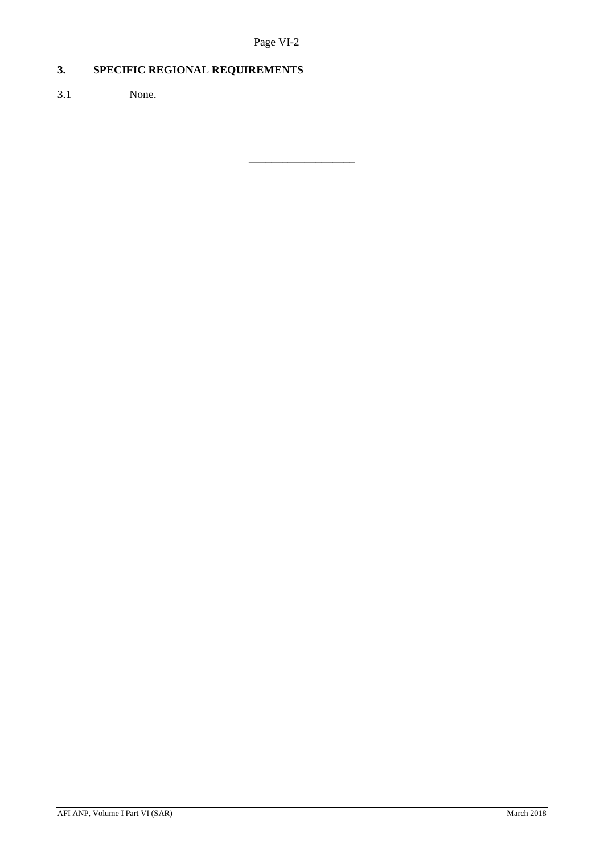\_\_\_\_\_\_\_\_\_\_\_\_\_\_\_\_\_\_\_

# **3. SPECIFIC REGIONAL REQUIREMENTS**

3.1 None.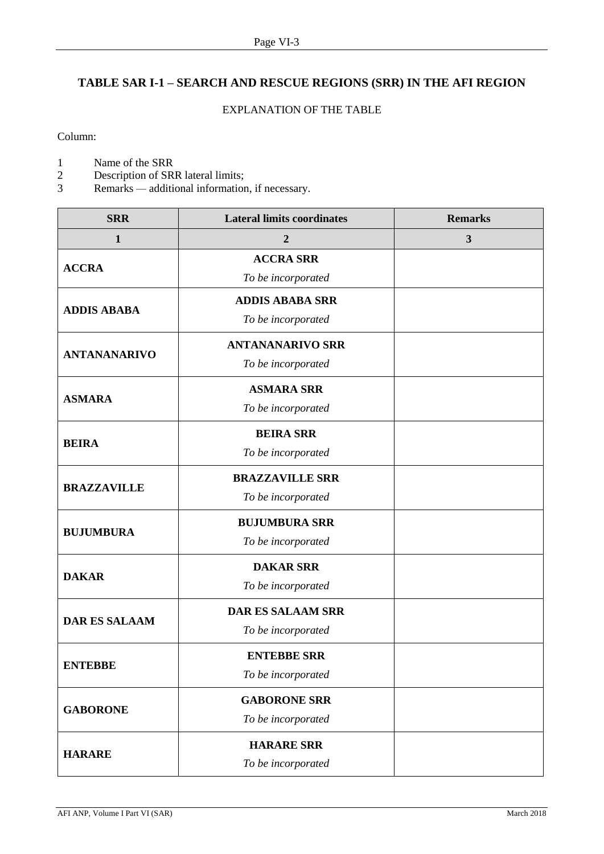# <span id="page-43-0"></span>**TABLE SAR I-1 – SEARCH AND RESCUE REGIONS (SRR) IN THE AFI REGION**

### EXPLANATION OF THE TABLE

Column:

- 1 Name of the SRR<br>2 Description of SR
- 2 Description of SRR lateral limits;<br>3 Remarks additional information
- 3 Remarks *—* additional information, if necessary.

| <b>SRR</b>           | <b>Lateral limits coordinates</b> | <b>Remarks</b> |
|----------------------|-----------------------------------|----------------|
| $\mathbf{1}$         | $\boldsymbol{2}$                  | $\mathbf{3}$   |
| <b>ACCRA</b>         | <b>ACCRA SRR</b>                  |                |
|                      | To be incorporated                |                |
| <b>ADDIS ABABA</b>   | <b>ADDIS ABABA SRR</b>            |                |
|                      | To be incorporated                |                |
|                      | <b>ANTANANARIVO SRR</b>           |                |
| <b>ANTANANARIVO</b>  | To be incorporated                |                |
|                      | <b>ASMARA SRR</b>                 |                |
| <b>ASMARA</b>        | To be incorporated                |                |
| <b>BEIRA</b>         | <b>BEIRA SRR</b>                  |                |
|                      | To be incorporated                |                |
|                      | <b>BRAZZAVILLE SRR</b>            |                |
| <b>BRAZZAVILLE</b>   | To be incorporated                |                |
|                      | <b>BUJUMBURA SRR</b>              |                |
| <b>BUJUMBURA</b>     | To be incorporated                |                |
| <b>DAKAR</b>         | <b>DAKAR SRR</b>                  |                |
|                      | To be incorporated                |                |
| <b>DAR ES SALAAM</b> | <b>DAR ES SALAAM SRR</b>          |                |
|                      | To be incorporated                |                |
|                      | <b>ENTEBBE SRR</b>                |                |
| <b>ENTEBBE</b>       | To be incorporated                |                |
| <b>GABORONE</b>      | <b>GABORONE SRR</b>               |                |
|                      | To be incorporated                |                |
|                      | <b>HARARE SRR</b>                 |                |
| <b>HARARE</b>        | To be incorporated                |                |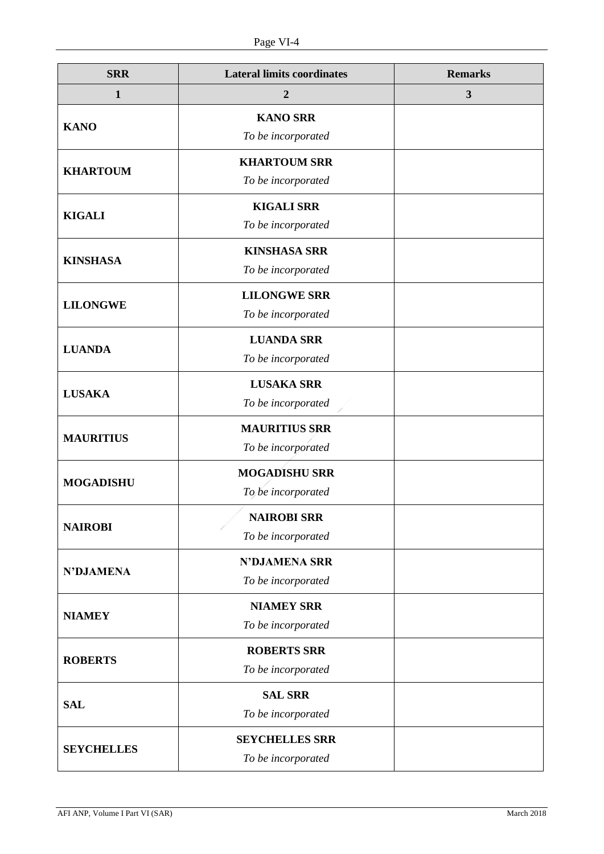| <b>SRR</b>        | <b>Lateral limits coordinates</b> | <b>Remarks</b> |
|-------------------|-----------------------------------|----------------|
| 1                 | $\boldsymbol{2}$                  | $\mathbf{3}$   |
| <b>KANO</b>       | <b>KANO SRR</b>                   |                |
|                   | To be incorporated                |                |
| <b>KHARTOUM</b>   | <b>KHARTOUM SRR</b>               |                |
|                   | To be incorporated                |                |
| <b>KIGALI</b>     | <b>KIGALI SRR</b>                 |                |
|                   | To be incorporated                |                |
| <b>KINSHASA</b>   | <b>KINSHASA SRR</b>               |                |
|                   | To be incorporated                |                |
| <b>LILONGWE</b>   | <b>LILONGWE SRR</b>               |                |
|                   | To be incorporated                |                |
| <b>LUANDA</b>     | <b>LUANDA SRR</b>                 |                |
|                   | To be incorporated                |                |
| <b>LUSAKA</b>     | <b>LUSAKA SRR</b>                 |                |
|                   | To be incorporated                |                |
| <b>MAURITIUS</b>  | <b>MAURITIUS SRR</b>              |                |
|                   | To be incorporated                |                |
| <b>MOGADISHU</b>  | <b>MOGADISHU SRR</b>              |                |
|                   | To be incorporated                |                |
| <b>NAIROBI</b>    | <b>NAIROBI SRR</b>                |                |
|                   | To be incorporated                |                |
| <b>N'DJAMENA</b>  | <b>N'DJAMENA SRR</b>              |                |
|                   | To be incorporated                |                |
| <b>NIAMEY</b>     | <b>NIAMEY SRR</b>                 |                |
|                   | To be incorporated                |                |
| <b>ROBERTS</b>    | <b>ROBERTS SRR</b>                |                |
|                   | To be incorporated                |                |
| <b>SAL</b>        | <b>SAL SRR</b>                    |                |
|                   | To be incorporated                |                |
| <b>SEYCHELLES</b> | <b>SEYCHELLES SRR</b>             |                |
|                   | To be incorporated                |                |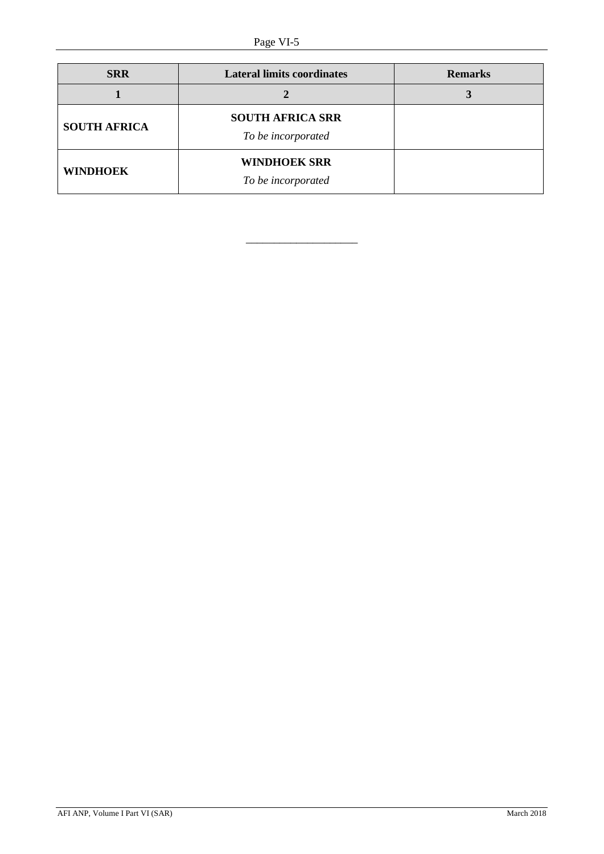| <b>SRR</b>          | <b>Lateral limits coordinates</b>             | <b>Remarks</b> |
|---------------------|-----------------------------------------------|----------------|
|                     |                                               |                |
| <b>SOUTH AFRICA</b> | <b>SOUTH AFRICA SRR</b><br>To be incorporated |                |
| <b>WINDHOEK</b>     | <b>WINDHOEK SRR</b><br>To be incorporated     |                |

\_\_\_\_\_\_\_\_\_\_\_\_\_\_\_\_\_\_\_\_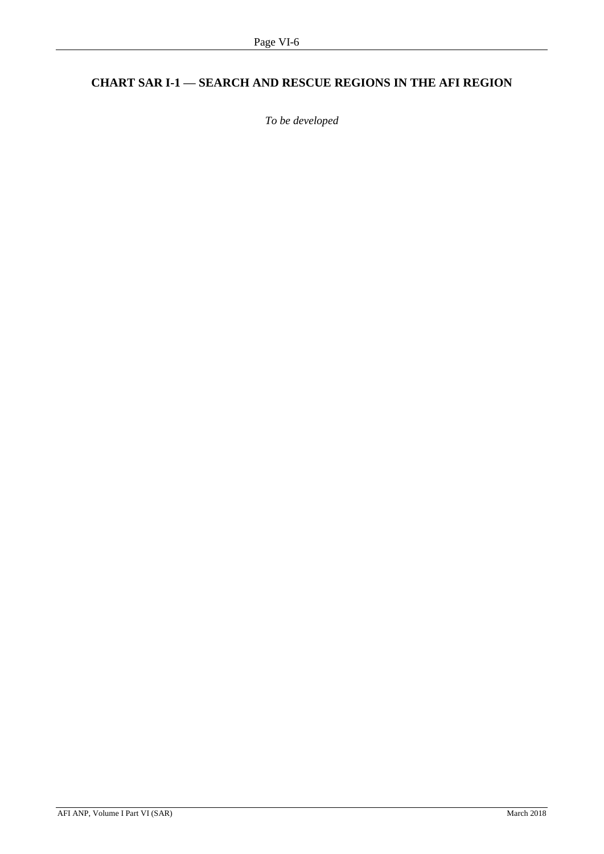# <span id="page-46-0"></span>**CHART SAR I-1 — SEARCH AND RESCUE REGIONS IN THE AFI REGION**

*To be developed*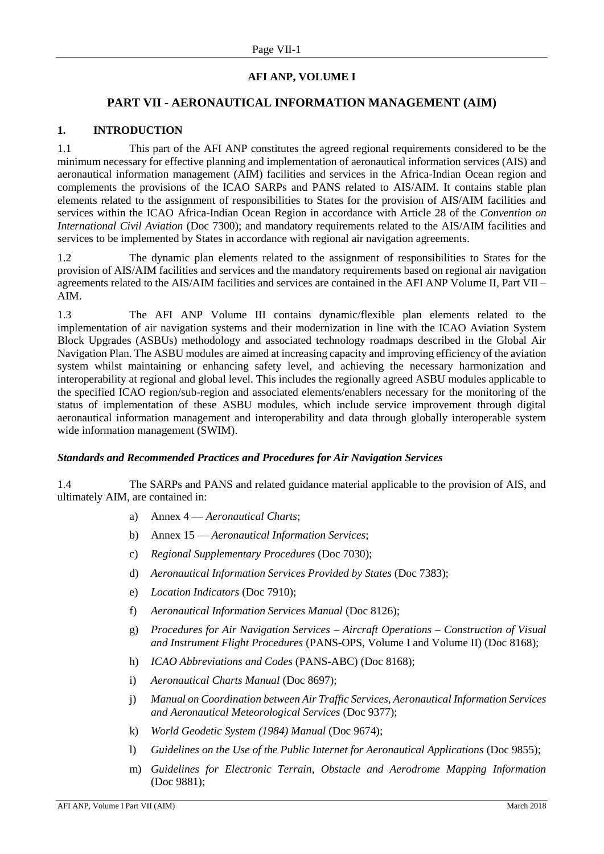# **AFI ANP, VOLUME I**

# **PART VII - AERONAUTICAL INFORMATION MANAGEMENT (AIM)**

#### <span id="page-47-0"></span>**1. INTRODUCTION**

1.1 This part of the AFI ANP constitutes the agreed regional requirements considered to be the minimum necessary for effective planning and implementation of aeronautical information services (AIS) and aeronautical information management (AIM) facilities and services in the Africa-Indian Ocean region and complements the provisions of the ICAO SARPs and PANS related to AIS/AIM. It contains stable plan elements related to the assignment of responsibilities to States for the provision of AIS/AIM facilities and services within the ICAO Africa-Indian Ocean Region in accordance with Article 28 of the *Convention on International Civil Aviation* (Doc 7300); and mandatory requirements related to the AIS/AIM facilities and services to be implemented by States in accordance with regional air navigation agreements.

1.2 The dynamic plan elements related to the assignment of responsibilities to States for the provision of AIS/AIM facilities and services and the mandatory requirements based on regional air navigation agreements related to the AIS/AIM facilities and services are contained in the AFI ANP Volume II, Part VII – AIM.

1.3 The AFI ANP Volume III contains dynamic/flexible plan elements related to the implementation of air navigation systems and their modernization in line with the ICAO Aviation System Block Upgrades (ASBUs) methodology and associated technology roadmaps described in the Global Air Navigation Plan. The ASBU modules are aimed at increasing capacity and improving efficiency of the aviation system whilst maintaining or enhancing safety level, and achieving the necessary harmonization and interoperability at regional and global level. This includes the regionally agreed ASBU modules applicable to the specified ICAO region/sub-region and associated elements/enablers necessary for the monitoring of the status of implementation of these ASBU modules, which include service improvement through digital aeronautical information management and interoperability and data through globally interoperable system wide information management (SWIM).

#### *Standards and Recommended Practices and Procedures for Air Navigation Services*

1.4 The SARPs and PANS and related guidance material applicable to the provision of AIS, and ultimately AIM, are contained in:

- a) Annex 4 *Aeronautical Charts*;
- b) Annex 15 *Aeronautical Information Services*;
- c) *Regional Supplementary Procedures* (Doc 7030);
- d) *Aeronautical Information Services Provided by States* (Doc 7383);
- e) *Location Indicators* (Doc 7910);
- f) *Aeronautical Information Services Manual* (Doc 8126);
- g) *Procedures for Air Navigation Services – Aircraft Operations – Construction of Visual and Instrument Flight Procedures* (PANS-OPS, Volume I and Volume II) (Doc 8168);
- h) *ICAO Abbreviations and Codes* (PANS-ABC) (Doc 8168);
- i) *Aeronautical Charts Manual* (Doc 8697);
- j) *Manual on Coordination between Air Traffic Services, Aeronautical Information Services and Aeronautical Meteorological Services* (Doc 9377);
- k) *World Geodetic System (1984) Manual* (Doc 9674);
- l) *Guidelines on the Use of the Public Internet for Aeronautical Applications* (Doc 9855);
- m) *Guidelines for Electronic Terrain, Obstacle and Aerodrome Mapping Information* (Doc 9881);